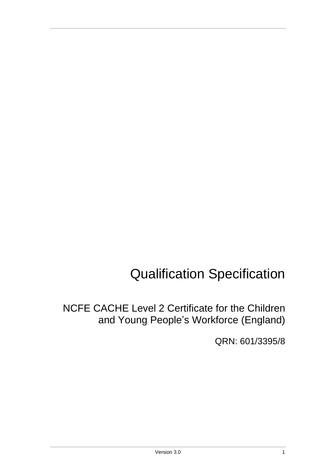# Qualification Specification

NCFE CACHE Level 2 Certificate for the Children and Young People's Workforce (England)

QRN: 601/3395/8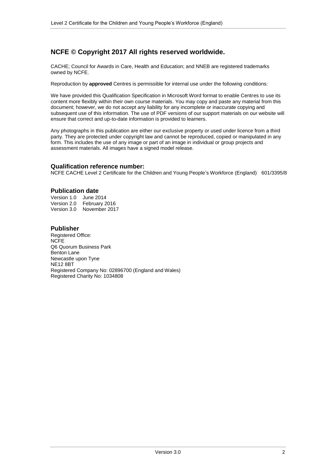## **NCFE © Copyright 2017 All rights reserved worldwide.**

CACHE; Council for Awards in Care, Health and Education; and NNEB are registered trademarks owned by NCFE.

Reproduction by **approved** Centres is permissible for internal use under the following conditions:

We have provided this Qualification Specification in Microsoft Word format to enable Centres to use its content more flexibly within their own course materials. You may copy and paste any material from this document; however, we do not accept any liability for any incomplete or inaccurate copying and subsequent use of this information. The use of PDF versions of our support materials on our website will ensure that correct and up-to-date information is provided to learners.

Any photographs in this publication are either our exclusive property or used under licence from a third party. They are protected under copyright law and cannot be reproduced, copied or manipulated in any form. This includes the use of any image or part of an image in individual or group projects and assessment materials. All images have a signed model release.

#### **Qualification reference number:**

NCFE CACHE Level 2 Certificate for the Children and Young People's Workforce (England) 601/3395/8

#### **Publication date**

Version 1.0 June 2014 Version 2.0 February 2016 Version 3.0 November 2017

#### **Publisher**

Registered Office: NCFE Q6 Quorum Business Park Benton Lane Newcastle upon Tyne NE12 8BT Registered Company No: 02896700 (England and Wales) Registered Charity No: 1034808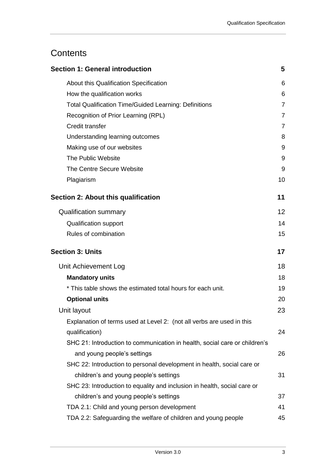# **Contents**

| <b>Section 1: General introduction</b>                                     | 5              |
|----------------------------------------------------------------------------|----------------|
| About this Qualification Specification                                     | 6              |
| How the qualification works                                                | 6              |
| <b>Total Qualification Time/Guided Learning: Definitions</b>               | $\overline{7}$ |
| Recognition of Prior Learning (RPL)                                        | $\overline{7}$ |
| Credit transfer                                                            | 7              |
| Understanding learning outcomes                                            | 8              |
| Making use of our websites                                                 | 9              |
| The Public Website                                                         | 9              |
| The Centre Secure Website                                                  | 9              |
| Plagiarism                                                                 | 10             |
| <b>Section 2: About this qualification</b>                                 | 11             |
| <b>Qualification summary</b>                                               | 12             |
| <b>Qualification support</b>                                               | 14             |
| Rules of combination                                                       | 15             |
| <b>Section 3: Units</b>                                                    |                |
|                                                                            | 17             |
| Unit Achievement Log                                                       | 18             |
| <b>Mandatory units</b>                                                     | 18             |
| * This table shows the estimated total hours for each unit.                | 19             |
| <b>Optional units</b>                                                      | 20             |
| Unit layout                                                                | 23             |
| Explanation of terms used at Level 2: (not all verbs are used in this      |                |
| qualification)                                                             | 24             |
| SHC 21: Introduction to communication in health, social care or children's |                |
| and young people's settings                                                | 26             |
| SHC 22: Introduction to personal development in health, social care or     |                |
| children's and young people's settings                                     | 31             |
| SHC 23: Introduction to equality and inclusion in health, social care or   |                |
| children's and young people's settings                                     | 37             |
| TDA 2.1: Child and young person development                                | 41             |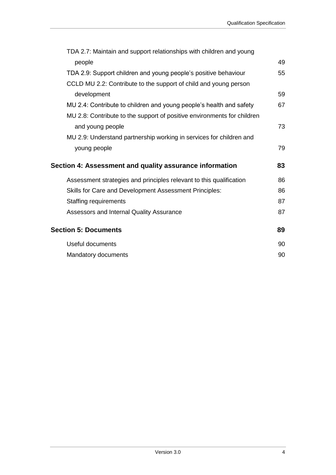| TDA 2.7: Maintain and support relationships with children and young     |    |
|-------------------------------------------------------------------------|----|
| people                                                                  | 49 |
| TDA 2.9: Support children and young people's positive behaviour         | 55 |
| CCLD MU 2.2: Contribute to the support of child and young person        |    |
| development                                                             | 59 |
| MU 2.4: Contribute to children and young people's health and safety     | 67 |
| MU 2.8: Contribute to the support of positive environments for children |    |
| and young people                                                        | 73 |
| MU 2.9: Understand partnership working in services for children and     |    |
| young people                                                            | 79 |
| Section 4: Assessment and quality assurance information                 | 83 |
| Assessment strategies and principles relevant to this qualification     | 86 |
| Skills for Care and Development Assessment Principles:                  | 86 |
| <b>Staffing requirements</b>                                            | 87 |
| Assessors and Internal Quality Assurance                                | 87 |
| <b>Section 5: Documents</b>                                             | 89 |
| Useful documents                                                        | 90 |
|                                                                         |    |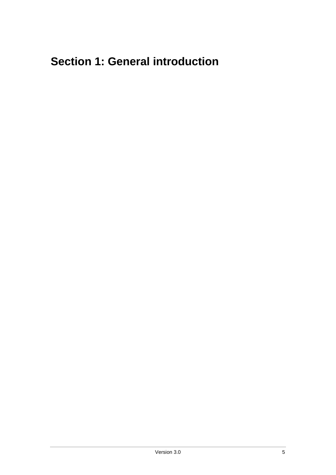# <span id="page-4-0"></span>**Section 1: General introduction**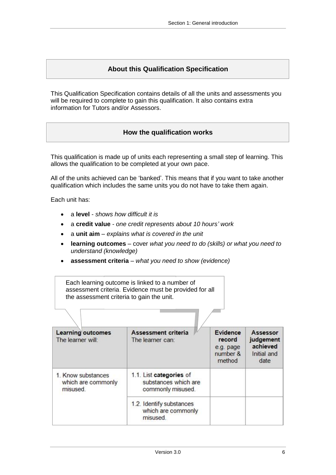### **About this Qualification Specification**

<span id="page-5-1"></span><span id="page-5-0"></span>This Qualification Specification contains details of all the units and assessments you will be required to complete to gain this qualification. It also contains extra information for Tutors and/or Assessors.

### **How the qualification works**

This qualification is made up of units each representing a small step of learning. This allows the qualification to be completed at your own pace.

All of the units achieved can be 'banked'. This means that if you want to take another qualification which includes the same units you do not have to take them again.

Each unit has:

- a **level** *shows how difficult it is*
- a **credit value** *one credit represents about 10 hours' work*
- a **unit aim** *explains what is covered in the unit*
- **learning outcomes** cover *what you need to do (skills) or what you need to understand (knowledge)*
- **assessment criteria** *what you need to show (evidence)*

Each learning outcome is linked to a number of assessment criteria. Evidence must be provided for all the assessment criteria to gain the unit.

| <b>Learning outcomes</b><br>The learner will:        | Assessment criteria<br>The learner can:                              | Evidence<br>record<br>e.g. page<br>number &<br>method | Assessor<br>judgement<br>achieved<br>Initial and<br>date |
|------------------------------------------------------|----------------------------------------------------------------------|-------------------------------------------------------|----------------------------------------------------------|
| 1. Know substances<br>which are commonly<br>misused. | 1.1. List categories of<br>substances which are<br>commonly misused. |                                                       |                                                          |
|                                                      | 1.2. Identify substances<br>which are commonly<br>misused.           |                                                       |                                                          |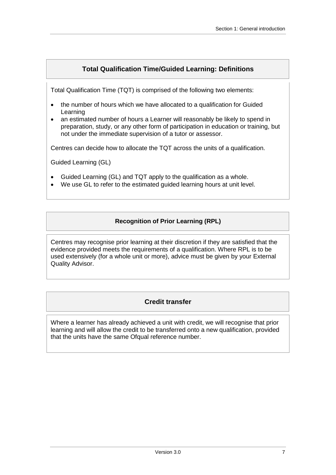## **Total Qualification Time/Guided Learning: Definitions**

<span id="page-6-0"></span>Total Qualification Time (TQT) is comprised of the following two elements:

- the number of hours which we have allocated to a qualification for Guided Learning
- an estimated number of hours a Learner will reasonably be likely to spend in preparation, study, or any other form of participation in education or training, but not under the immediate supervision of a tutor or assessor.

Centres can decide how to allocate the TQT across the units of a qualification.

Guided Learning (GL)

- Guided Learning (GL) and TQT apply to the qualification as a whole.
- <span id="page-6-1"></span>We use GL to refer to the estimated guided learning hours at unit level.

### **Recognition of Prior Learning (RPL)**

Centres may recognise prior learning at their discretion if they are satisfied that the evidence provided meets the requirements of a qualification. Where RPL is to be used extensively (for a whole unit or more), advice must be given by your External Quality Advisor.

### **Credit transfer**

<span id="page-6-2"></span>Where a learner has already achieved a unit with credit, we will recognise that prior learning and will allow the credit to be transferred onto a new qualification, provided that the units have the same Ofqual reference number.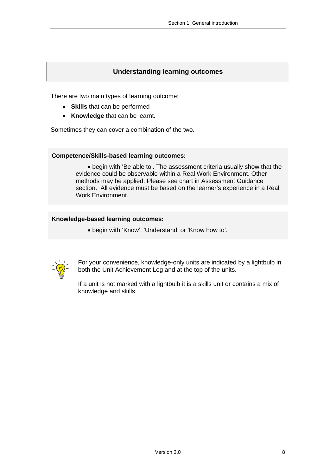### **Understanding learning outcomes**

<span id="page-7-0"></span>There are two main types of learning outcome:

- **Skills** that can be performed
- **Knowledge** that can be learnt.

Sometimes they can cover a combination of the two.

### **Competence/Skills-based learning outcomes:**

 begin with 'Be able to'. The assessment criteria usually show that the evidence could be observable within a Real Work Environment. Other methods may be applied. Please see chart in Assessment Guidance section. All evidence must be based on the learner's experience in a Real Work Environment.

### **Knowledge-based learning outcomes:**

begin with 'Know', 'Understand' or 'Know how to'.



For your convenience, knowledge-only units are indicated by a lightbulb in both the Unit Achievement Log and at the top of the units.

If a unit is not marked with a lightbulb it is a skills unit or contains a mix of knowledge and skills.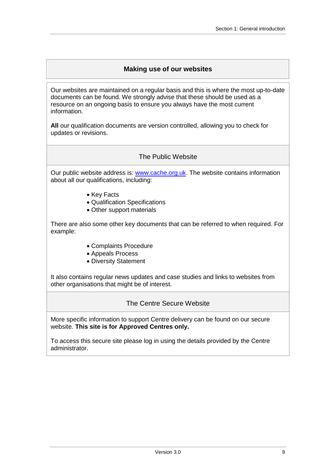## **Making use of our websites**

<span id="page-8-0"></span>Our websites are maintained on a regular basis and this is where the most up-to-date documents can be found. We strongly advise that these should be used as a resource on an ongoing basis to ensure you always have the most current information.

**All** our qualification documents are version controlled, allowing you to check for updates or revisions.

### The Public Website

<span id="page-8-1"></span>Our public website address is: [www.cache.org.uk.](http://www.cache.org.uk/) The website contains information about all our qualifications, including:

- Key Facts
- Qualification Specifications
- Other support materials

There are also some other key documents that can be referred to when required. For example:

- Complaints Procedure
- Appeals Process
- Diversity Statement

It also contains regular news updates and case studies and links to websites from other organisations that might be of interest.

The Centre Secure Website

<span id="page-8-2"></span>More specific information to support Centre delivery can be found on our secure website. **This site is for Approved Centres only.**

To access this secure site please log in using the details provided by the Centre administrator.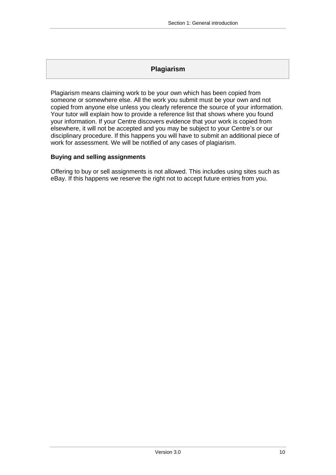## **Plagiarism**

<span id="page-9-0"></span>Plagiarism means claiming work to be your own which has been copied from someone or somewhere else. All the work you submit must be your own and not copied from anyone else unless you clearly reference the source of your information. Your tutor will explain how to provide a reference list that shows where you found your information. If your Centre discovers evidence that your work is copied from elsewhere, it will not be accepted and you may be subject to your Centre's or our disciplinary procedure. If this happens you will have to submit an additional piece of work for assessment. We will be notified of any cases of plagiarism.

### **Buying and selling assignments**

Offering to buy or sell assignments is not allowed. This includes using sites such as eBay. If this happens we reserve the right not to accept future entries from you.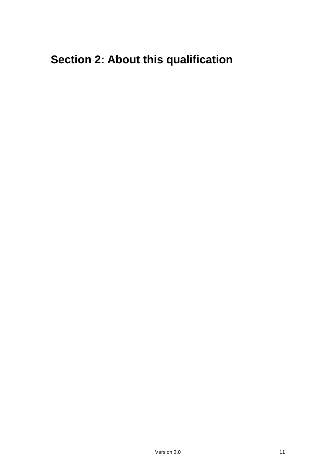# <span id="page-10-0"></span>**Section 2: About this qualification**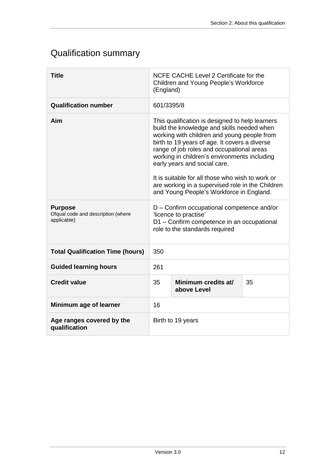# <span id="page-11-0"></span>Qualification summary

| <b>Title</b>                                                               | NCFE CACHE Level 2 Certificate for the<br>Children and Young People's Workforce<br>(England)                                                                                                                                                                                                                                                                                                                                                                                                                                                                                                                                          |  |  |  |  |
|----------------------------------------------------------------------------|---------------------------------------------------------------------------------------------------------------------------------------------------------------------------------------------------------------------------------------------------------------------------------------------------------------------------------------------------------------------------------------------------------------------------------------------------------------------------------------------------------------------------------------------------------------------------------------------------------------------------------------|--|--|--|--|
| <b>Qualification number</b>                                                | 601/3395/8                                                                                                                                                                                                                                                                                                                                                                                                                                                                                                                                                                                                                            |  |  |  |  |
| Aim<br><b>Purpose</b><br>Ofqual code and description (where<br>applicable) | This qualification is designed to help learners<br>build the knowledge and skills needed when<br>working with children and young people from<br>birth to 19 years of age. It covers a diverse<br>range of job roles and occupational areas<br>working in children's environments including<br>early years and social care.<br>It is suitable for all those who wish to work or<br>are working in a supervised role in the Children<br>and Young People's Workforce in England.<br>D - Confirm occupational competence and/or<br>'licence to practise'<br>D1 - Confirm competence in an occupational<br>role to the standards required |  |  |  |  |
|                                                                            |                                                                                                                                                                                                                                                                                                                                                                                                                                                                                                                                                                                                                                       |  |  |  |  |
| <b>Total Qualification Time (hours)</b>                                    | 350                                                                                                                                                                                                                                                                                                                                                                                                                                                                                                                                                                                                                                   |  |  |  |  |
| <b>Guided learning hours</b>                                               | 261                                                                                                                                                                                                                                                                                                                                                                                                                                                                                                                                                                                                                                   |  |  |  |  |
| <b>Credit value</b>                                                        | 35<br>Minimum credits at/<br>35<br>above Level                                                                                                                                                                                                                                                                                                                                                                                                                                                                                                                                                                                        |  |  |  |  |
| Minimum age of learner                                                     | 16                                                                                                                                                                                                                                                                                                                                                                                                                                                                                                                                                                                                                                    |  |  |  |  |
| Age ranges covered by the<br>qualification                                 | Birth to 19 years                                                                                                                                                                                                                                                                                                                                                                                                                                                                                                                                                                                                                     |  |  |  |  |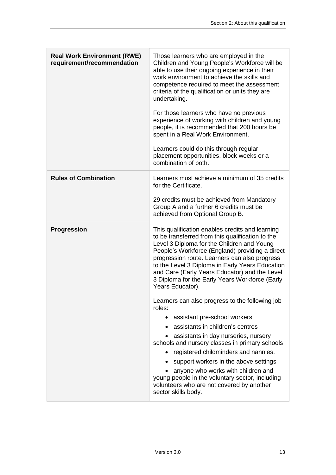| <b>Real Work Environment (RWE)</b><br>requirement/recommendation | Those learners who are employed in the<br>Children and Young People's Workforce will be<br>able to use their ongoing experience in their<br>work environment to achieve the skills and<br>competence required to meet the assessment<br>criteria of the qualification or units they are<br>undertaking.<br>For those learners who have no previous<br>experience of working with children and young<br>people, it is recommended that 200 hours be<br>spent in a Real Work Environment.<br>Learners could do this through regular<br>placement opportunities, block weeks or a<br>combination of both.                                                                                                                                                                                                                                                                                                                |
|------------------------------------------------------------------|-----------------------------------------------------------------------------------------------------------------------------------------------------------------------------------------------------------------------------------------------------------------------------------------------------------------------------------------------------------------------------------------------------------------------------------------------------------------------------------------------------------------------------------------------------------------------------------------------------------------------------------------------------------------------------------------------------------------------------------------------------------------------------------------------------------------------------------------------------------------------------------------------------------------------|
| <b>Rules of Combination</b>                                      | Learners must achieve a minimum of 35 credits<br>for the Certificate.<br>29 credits must be achieved from Mandatory<br>Group A and a further 6 credits must be<br>achieved from Optional Group B.                                                                                                                                                                                                                                                                                                                                                                                                                                                                                                                                                                                                                                                                                                                     |
| <b>Progression</b>                                               | This qualification enables credits and learning<br>to be transferred from this qualification to the<br>Level 3 Diploma for the Children and Young<br>People's Workforce (England) providing a direct<br>progression route. Learners can also progress<br>to the Level 3 Diploma in Early Years Education<br>and Care (Early Years Educator) and the Level<br>3 Diploma for the Early Years Workforce (Early<br>Years Educator).<br>Learners can also progress to the following job<br>roles:<br>assistant pre-school workers<br>$\bullet$<br>assistants in children's centres<br>assistants in day nurseries, nursery<br>schools and nursery classes in primary schools<br>registered childminders and nannies.<br>support workers in the above settings<br>anyone who works with children and<br>young people in the voluntary sector, including<br>volunteers who are not covered by another<br>sector skills body. |

 $\mathbb T$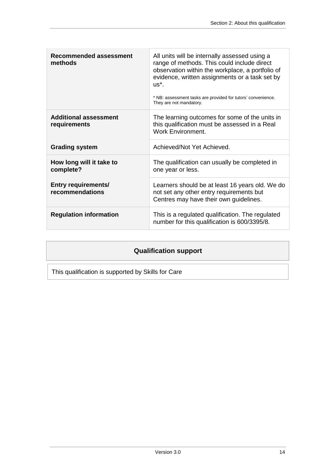| <b>Recommended assessment</b><br>methods      | All units will be internally assessed using a<br>range of methods. This could include direct<br>observation within the workplace, a portfolio of<br>evidence, written assignments or a task set by<br>$US^*$ .<br>* NB: assessment tasks are provided for tutors' convenience.<br>They are not mandatory. |
|-----------------------------------------------|-----------------------------------------------------------------------------------------------------------------------------------------------------------------------------------------------------------------------------------------------------------------------------------------------------------|
| <b>Additional assessment</b><br>requirements  | The learning outcomes for some of the units in<br>this qualification must be assessed in a Real<br><b>Work Environment.</b>                                                                                                                                                                               |
| <b>Grading system</b>                         | Achieved/Not Yet Achieved.                                                                                                                                                                                                                                                                                |
| How long will it take to<br>complete?         | The qualification can usually be completed in<br>one year or less.                                                                                                                                                                                                                                        |
| <b>Entry requirements/</b><br>recommendations | Learners should be at least 16 years old. We do<br>not set any other entry requirements but<br>Centres may have their own guidelines.                                                                                                                                                                     |
| <b>Regulation information</b>                 | This is a regulated qualification. The regulated<br>number for this qualification is 600/3395/8.                                                                                                                                                                                                          |

# **Qualification support**

<span id="page-13-0"></span>This qualification is supported by Skills for Care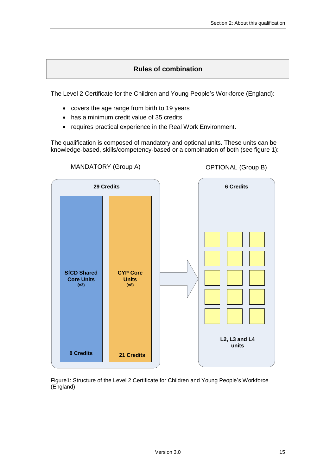## **Rules of combination**

<span id="page-14-0"></span>The Level 2 Certificate for the Children and Young People's Workforce (England):

- covers the age range from birth to 19 years
- has a minimum credit value of 35 credits
- requires practical experience in the Real Work Environment.

The qualification is composed of mandatory and optional units. These units can be knowledge-based, skills/competency-based or a combination of both (see figure 1):



Figure1: Structure of the Level 2 Certificate for Children and Young People's Workforce (England)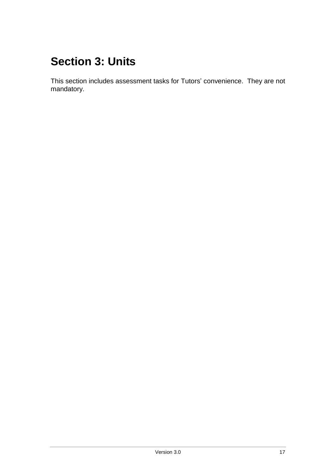# <span id="page-16-0"></span>**Section 3: Units**

This section includes assessment tasks for Tutors' convenience. They are not mandatory.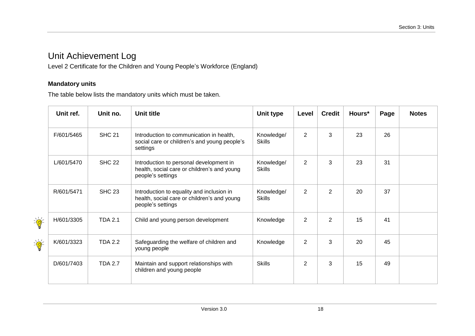# Unit Achievement Log

Level 2 Certificate for the Children and Young People's Workforce (England)

### **Mandatory units**

The table below lists the mandatory units which must be taken.

<span id="page-17-1"></span><span id="page-17-0"></span>

|                                                                                                                                                                                                                                                                                                                                                                 | Unit ref.  | Unit no.       | Unit title                                                                                                    | Unit type                   | Level          | <b>Credit</b>  | Hours* | Page | <b>Notes</b> |
|-----------------------------------------------------------------------------------------------------------------------------------------------------------------------------------------------------------------------------------------------------------------------------------------------------------------------------------------------------------------|------------|----------------|---------------------------------------------------------------------------------------------------------------|-----------------------------|----------------|----------------|--------|------|--------------|
|                                                                                                                                                                                                                                                                                                                                                                 | F/601/5465 | <b>SHC 21</b>  | Introduction to communication in health,<br>social care or children's and young people's<br>settings          | Knowledge/<br><b>Skills</b> | 2              | 3              | 23     | 26   |              |
|                                                                                                                                                                                                                                                                                                                                                                 | L/601/5470 | <b>SHC 22</b>  | Introduction to personal development in<br>health, social care or children's and young<br>people's settings   | Knowledge/<br><b>Skills</b> | 2              | 3              | 23     | 31   |              |
|                                                                                                                                                                                                                                                                                                                                                                 | R/601/5471 | <b>SHC 23</b>  | Introduction to equality and inclusion in<br>health, social care or children's and young<br>people's settings | Knowledge/<br><b>Skills</b> | 2              | 2              | 20     | 37   |              |
| $\sum_{i=1}^{n} \frac{1}{i} \sum_{i=1}^{n} \frac{1}{i} \sum_{i=1}^{n} \frac{1}{i} \sum_{i=1}^{n} \frac{1}{i} \sum_{i=1}^{n} \frac{1}{i} \sum_{i=1}^{n} \frac{1}{i} \sum_{i=1}^{n} \frac{1}{i} \sum_{i=1}^{n} \frac{1}{i} \sum_{i=1}^{n} \frac{1}{i} \sum_{i=1}^{n} \frac{1}{i} \sum_{i=1}^{n} \frac{1}{i} \sum_{i=1}^{n} \frac{1}{i} \sum_{i=1}^{n} \frac{1}{i$ | H/601/3305 | <b>TDA 2.1</b> | Child and young person development                                                                            | Knowledge                   | $\overline{2}$ | $\overline{2}$ | 15     | 41   |              |
| $\sum_{i=1}^{n} \frac{1}{i} \sum_{i=1}^{n} \frac{1}{i} \sum_{i=1}^{n} \frac{1}{i} \sum_{i=1}^{n} \frac{1}{i} \sum_{i=1}^{n} \frac{1}{i} \sum_{i=1}^{n} \frac{1}{i} \sum_{i=1}^{n} \frac{1}{i} \sum_{i=1}^{n} \frac{1}{i} \sum_{i=1}^{n} \frac{1}{i} \sum_{i=1}^{n} \frac{1}{i} \sum_{i=1}^{n} \frac{1}{i} \sum_{i=1}^{n} \frac{1}{i} \sum_{i=1}^{n} \frac{1}{i$ | K/601/3323 | <b>TDA 2.2</b> | Safeguarding the welfare of children and<br>young people                                                      | Knowledge                   | $\overline{2}$ | 3              | 20     | 45   |              |
|                                                                                                                                                                                                                                                                                                                                                                 | D/601/7403 | <b>TDA 2.7</b> | Maintain and support relationships with<br>children and young people                                          | <b>Skills</b>               | $\overline{2}$ | 3              | 15     | 49   |              |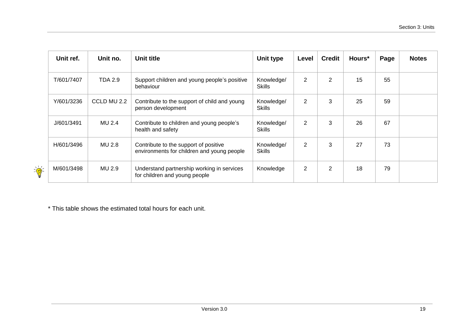|                  | Unit ref.  | Unit no.    | Unit title                                                                          | <b>Unit type</b>            | Level          | <b>Credit</b> | Hours* | Page | <b>Notes</b> |
|------------------|------------|-------------|-------------------------------------------------------------------------------------|-----------------------------|----------------|---------------|--------|------|--------------|
|                  | T/601/7407 | TDA 2.9     | Support children and young people's positive<br>behaviour                           | Knowledge/<br><b>Skills</b> | $\overline{2}$ | 2             | 15     | 55   |              |
|                  | Y/601/3236 | CCLD MU 2.2 | Contribute to the support of child and young<br>person development                  | Knowledge/<br><b>Skills</b> | $\overline{2}$ | 3             | 25     | 59   |              |
|                  | J/601/3491 | MU 2.4      | Contribute to children and young people's<br>health and safety                      | Knowledge/<br><b>Skills</b> | $\overline{2}$ | 3             | 26     | 67   |              |
|                  | H/601/3496 | MU 2.8      | Contribute to the support of positive<br>environments for children and young people | Knowledge/<br><b>Skills</b> | $\overline{2}$ | 3             | 27     | 73   |              |
| $\sum_{i=1}^{n}$ | M/601/3498 | MU 2.9      | Understand partnership working in services<br>for children and young people         | Knowledge                   | $\overline{2}$ | 2             | 18     | 79   |              |

<span id="page-18-0"></span>\* This table shows the estimated total hours for each unit.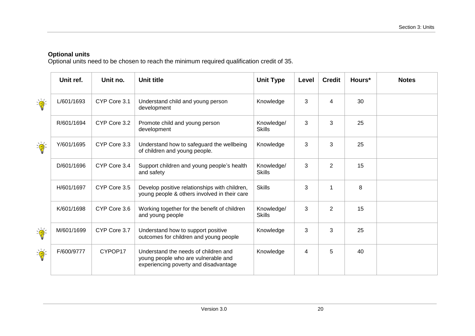### **Optional units**

Optional units need to be chosen to reach the minimum required qualification credit of 35.

<span id="page-19-0"></span>

|                                                                                                                                                                                                                                                                                                                                                                 | Unit ref.  | Unit no.     | Unit title                                                                                                           | <b>Unit Type</b>            | Level | <b>Credit</b>  | Hours* | <b>Notes</b> |
|-----------------------------------------------------------------------------------------------------------------------------------------------------------------------------------------------------------------------------------------------------------------------------------------------------------------------------------------------------------------|------------|--------------|----------------------------------------------------------------------------------------------------------------------|-----------------------------|-------|----------------|--------|--------------|
| $\frac{1}{\sqrt{2}}$                                                                                                                                                                                                                                                                                                                                            | L/601/1693 | CYP Core 3.1 | Understand child and young person<br>development                                                                     | Knowledge                   | 3     | 4              | 30     |              |
|                                                                                                                                                                                                                                                                                                                                                                 | R/601/1694 | CYP Core 3.2 | Promote child and young person<br>development                                                                        | Knowledge/<br><b>Skills</b> | 3     | 3              | 25     |              |
| $\sum_{i=1}^{n} \frac{1}{i} \sum_{i=1}^{n} \frac{1}{i} \sum_{i=1}^{n} \frac{1}{i} \sum_{i=1}^{n} \frac{1}{i} \sum_{i=1}^{n} \frac{1}{i} \sum_{i=1}^{n} \frac{1}{i} \sum_{i=1}^{n} \frac{1}{i} \sum_{i=1}^{n} \frac{1}{i} \sum_{i=1}^{n} \frac{1}{i} \sum_{i=1}^{n} \frac{1}{i} \sum_{i=1}^{n} \frac{1}{i} \sum_{i=1}^{n} \frac{1}{i} \sum_{i=1}^{n} \frac{1}{i$ | Y/601/1695 | CYP Core 3.3 | Understand how to safeguard the wellbeing<br>of children and young people.                                           | Knowledge                   | 3     | 3              | 25     |              |
|                                                                                                                                                                                                                                                                                                                                                                 | D/601/1696 | CYP Core 3.4 | Support children and young people's health<br>and safety                                                             | Knowledge/<br><b>Skills</b> | 3     | 2              | 15     |              |
|                                                                                                                                                                                                                                                                                                                                                                 | H/601/1697 | CYP Core 3.5 | Develop positive relationships with children,<br>young people & others involved in their care                        | <b>Skills</b>               | 3     |                | 8      |              |
|                                                                                                                                                                                                                                                                                                                                                                 | K/601/1698 | CYP Core 3.6 | Working together for the benefit of children<br>and young people                                                     | Knowledge/<br><b>Skills</b> | 3     | $\overline{2}$ | 15     |              |
| $\sum_{i=1}^{n}$                                                                                                                                                                                                                                                                                                                                                | M/601/1699 | CYP Core 3.7 | Understand how to support positive<br>outcomes for children and young people                                         | Knowledge                   | 3     | 3              | 25     |              |
| $\sum_{i=1}^{n}$                                                                                                                                                                                                                                                                                                                                                | F/600/9777 | CYPOP17      | Understand the needs of children and<br>young people who are vulnerable and<br>experiencing poverty and disadvantage | Knowledge                   | 4     | 5              | 40     |              |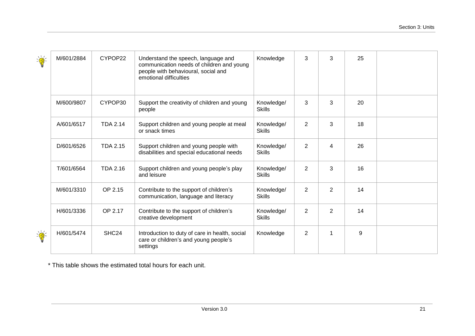| $\sum_{i=1}^{n}$     | M/601/2884 | CYPOP22           | Understand the speech, language and<br>communication needs of children and young<br>people with behavioural, social and<br>emotional difficulties | Knowledge                   | 3              | 3              | 25 |  |
|----------------------|------------|-------------------|---------------------------------------------------------------------------------------------------------------------------------------------------|-----------------------------|----------------|----------------|----|--|
|                      | M/600/9807 | CYPOP30           | Support the creativity of children and young<br>people                                                                                            | Knowledge/<br><b>Skills</b> | 3              | 3              | 20 |  |
|                      | A/601/6517 | <b>TDA 2.14</b>   | Support children and young people at meal<br>or snack times                                                                                       | Knowledge/<br><b>Skills</b> | 2              | 3              | 18 |  |
|                      | D/601/6526 | <b>TDA 2.15</b>   | Support children and young people with<br>disabilities and special educational needs                                                              | Knowledge/<br><b>Skills</b> | $\overline{2}$ | 4              | 26 |  |
|                      | T/601/6564 | <b>TDA 2.16</b>   | Support children and young people's play<br>and leisure                                                                                           | Knowledge/<br><b>Skills</b> | 2              | 3              | 16 |  |
|                      | M/601/3310 | OP 2.15           | Contribute to the support of children's<br>communication, language and literacy                                                                   | Knowledge/<br><b>Skills</b> | $\overline{2}$ | $\overline{2}$ | 14 |  |
|                      | H/601/3336 | OP 2.17           | Contribute to the support of children's<br>creative development                                                                                   | Knowledge/<br><b>Skills</b> | $\overline{2}$ | $\overline{2}$ | 14 |  |
| $\frac{1}{\sqrt{2}}$ | H/601/5474 | SHC <sub>24</sub> | Introduction to duty of care in health, social<br>care or children's and young people's<br>settings                                               | Knowledge                   | $\overline{2}$ |                | 9  |  |

\* This table shows the estimated total hours for each unit.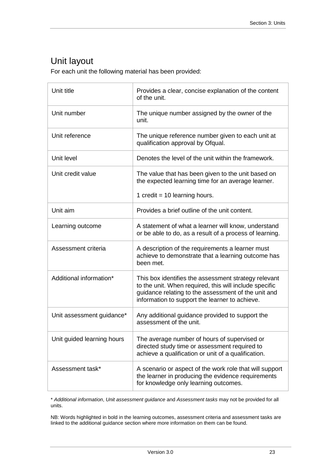# <span id="page-22-0"></span>Unit layout

For each unit the following material has been provided:

| Unit title                 | Provides a clear, concise explanation of the content<br>of the unit.                                                                                                                                                    |
|----------------------------|-------------------------------------------------------------------------------------------------------------------------------------------------------------------------------------------------------------------------|
| Unit number                | The unique number assigned by the owner of the<br>unit.                                                                                                                                                                 |
| Unit reference             | The unique reference number given to each unit at<br>qualification approval by Ofqual.                                                                                                                                  |
| Unit level                 | Denotes the level of the unit within the framework.                                                                                                                                                                     |
| Unit credit value          | The value that has been given to the unit based on<br>the expected learning time for an average learner.                                                                                                                |
|                            | 1 credit = $10$ learning hours.                                                                                                                                                                                         |
| Unit aim                   | Provides a brief outline of the unit content.                                                                                                                                                                           |
| Learning outcome           | A statement of what a learner will know, understand<br>or be able to do, as a result of a process of learning.                                                                                                          |
| Assessment criteria        | A description of the requirements a learner must<br>achieve to demonstrate that a learning outcome has<br>been met.                                                                                                     |
| Additional information*    | This box identifies the assessment strategy relevant<br>to the unit. When required, this will include specific<br>guidance relating to the assessment of the unit and<br>information to support the learner to achieve. |
| Unit assessment guidance*  | Any additional guidance provided to support the<br>assessment of the unit.                                                                                                                                              |
| Unit guided learning hours | The average number of hours of supervised or<br>directed study time or assessment required to<br>achieve a qualification or unit of a qualification.                                                                    |
| Assessment task*           | A scenario or aspect of the work role that will support<br>the learner in producing the evidence requirements<br>for knowledge only learning outcomes.                                                                  |

\* *Additional information*, *Unit assessment guidance* and *Assessment tasks* may not be provided for all units.

NB: Words highlighted in bold in the learning outcomes, assessment criteria and assessment tasks are linked to the additional guidance section where more information on them can be found.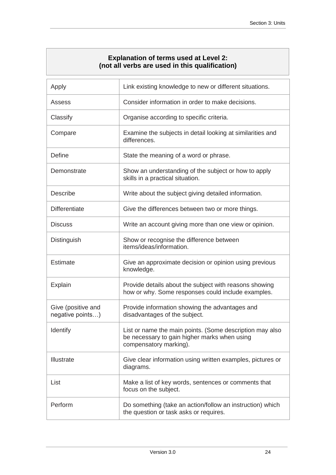### **Explanation of terms used at Level 2: (not all verbs are used in this qualification)**

<span id="page-23-0"></span>

| Apply                                  | Link existing knowledge to new or different situations.                                                                            |
|----------------------------------------|------------------------------------------------------------------------------------------------------------------------------------|
| Assess                                 | Consider information in order to make decisions.                                                                                   |
| Classify                               | Organise according to specific criteria.                                                                                           |
| Compare                                | Examine the subjects in detail looking at similarities and<br>differences.                                                         |
| <b>Define</b>                          | State the meaning of a word or phrase.                                                                                             |
| Demonstrate                            | Show an understanding of the subject or how to apply<br>skills in a practical situation.                                           |
| <b>Describe</b>                        | Write about the subject giving detailed information.                                                                               |
| <b>Differentiate</b>                   | Give the differences between two or more things.                                                                                   |
| <b>Discuss</b>                         | Write an account giving more than one view or opinion.                                                                             |
| Distinguish                            | Show or recognise the difference between<br>items/ideas/information.                                                               |
| <b>Estimate</b>                        | Give an approximate decision or opinion using previous<br>knowledge.                                                               |
| Explain                                | Provide details about the subject with reasons showing<br>how or why. Some responses could include examples.                       |
| Give (positive and<br>negative points) | Provide information showing the advantages and<br>disadvantages of the subject.                                                    |
| Identify                               | List or name the main points. (Some description may also<br>be necessary to gain higher marks when using<br>compensatory marking). |
| Illustrate                             | Give clear information using written examples, pictures or<br>diagrams.                                                            |
| List                                   | Make a list of key words, sentences or comments that<br>focus on the subject.                                                      |
| Perform                                | Do something (take an action/follow an instruction) which<br>the question or task asks or requires.                                |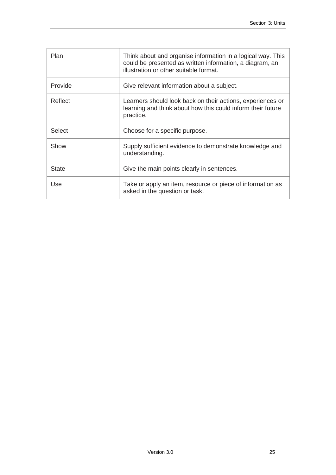| Plan    | Think about and organise information in a logical way. This<br>could be presented as written information, a diagram, an<br>illustration or other suitable format. |
|---------|-------------------------------------------------------------------------------------------------------------------------------------------------------------------|
| Provide | Give relevant information about a subject.                                                                                                                        |
| Reflect | Learners should look back on their actions, experiences or<br>learning and think about how this could inform their future<br>practice.                            |
| Select  | Choose for a specific purpose.                                                                                                                                    |
| Show    | Supply sufficient evidence to demonstrate knowledge and<br>understanding.                                                                                         |
| State   | Give the main points clearly in sentences.                                                                                                                        |
| Use     | Take or apply an item, resource or piece of information as<br>asked in the question or task.                                                                      |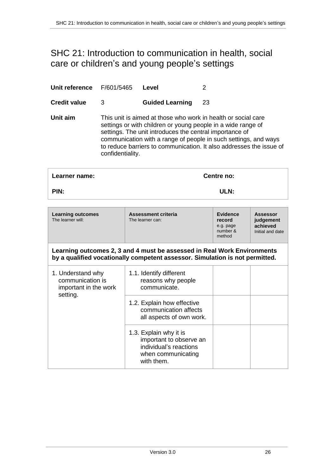# <span id="page-25-1"></span><span id="page-25-0"></span>SHC 21: Introduction to communication in health, social care or children's and young people's settings

| Unit reference                                                 | F/601/5465                                                                                                                                                                                                                                                                                                                                             | Level                                                                                                                                                   | 2                        |                                                              |                                                              |
|----------------------------------------------------------------|--------------------------------------------------------------------------------------------------------------------------------------------------------------------------------------------------------------------------------------------------------------------------------------------------------------------------------------------------------|---------------------------------------------------------------------------------------------------------------------------------------------------------|--------------------------|--------------------------------------------------------------|--------------------------------------------------------------|
| <b>Credit value</b>                                            | 3                                                                                                                                                                                                                                                                                                                                                      | <b>Guided Learning</b>                                                                                                                                  | 23                       |                                                              |                                                              |
| Unit aim                                                       | This unit is aimed at those who work in health or social care<br>settings or with children or young people in a wide range of<br>settings. The unit introduces the central importance of<br>communication with a range of people in such settings, and ways<br>to reduce barriers to communication. It also addresses the issue of<br>confidentiality. |                                                                                                                                                         |                          |                                                              |                                                              |
| Learner name:                                                  |                                                                                                                                                                                                                                                                                                                                                        |                                                                                                                                                         |                          | Centre no:                                                   |                                                              |
| PIN:                                                           |                                                                                                                                                                                                                                                                                                                                                        |                                                                                                                                                         |                          | ULN:                                                         |                                                              |
|                                                                |                                                                                                                                                                                                                                                                                                                                                        |                                                                                                                                                         |                          |                                                              |                                                              |
| <b>Learning outcomes</b><br>The learner will:                  |                                                                                                                                                                                                                                                                                                                                                        | <b>Assessment criteria</b><br>The learner can:                                                                                                          |                          | <b>Evidence</b><br>record<br>e.g. page<br>number &<br>method | <b>Assessor</b><br>judgement<br>achieved<br>Initial and date |
|                                                                |                                                                                                                                                                                                                                                                                                                                                        | Learning outcomes 2, 3 and 4 must be assessed in Real Work Environments<br>by a qualified vocationally competent assessor. Simulation is not permitted. |                          |                                                              |                                                              |
| 1. Understand why<br>communication is<br>important in the work |                                                                                                                                                                                                                                                                                                                                                        | 1.1. Identify different<br>reasons why people<br>communicate.                                                                                           |                          |                                                              |                                                              |
| setting.                                                       |                                                                                                                                                                                                                                                                                                                                                        | 1.2. Explain how effective<br>communication affects                                                                                                     | all aspects of own work. |                                                              |                                                              |
|                                                                |                                                                                                                                                                                                                                                                                                                                                        | 1.3. Explain why it is<br>important to observe an<br>individual's reactions                                                                             |                          |                                                              |                                                              |

when communicating

with them.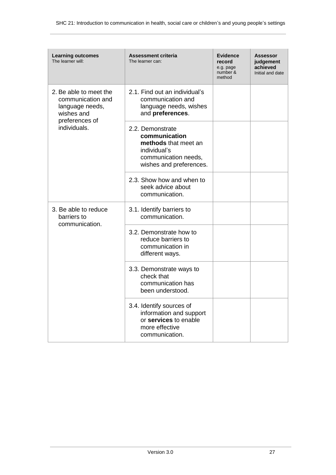| <b>Learning outcomes</b><br>The learner will:                                                                  | Assessment criteria<br>The learner can:                                                                                      | <b>Evidence</b><br>record<br>e.g. page<br>number &<br>method | <b>Assessor</b><br>judgement<br>achieved<br>Initial and date |
|----------------------------------------------------------------------------------------------------------------|------------------------------------------------------------------------------------------------------------------------------|--------------------------------------------------------------|--------------------------------------------------------------|
| 2. Be able to meet the<br>communication and<br>language needs,<br>wishes and<br>preferences of<br>individuals. | 2.1. Find out an individual's<br>communication and<br>language needs, wishes<br>and preferences.                             |                                                              |                                                              |
|                                                                                                                | 2.2. Demonstrate<br>communication<br>methods that meet an<br>individual's<br>communication needs,<br>wishes and preferences. |                                                              |                                                              |
|                                                                                                                | 2.3. Show how and when to<br>seek advice about<br>communication.                                                             |                                                              |                                                              |
| 3. Be able to reduce<br>barriers to<br>communication.                                                          | 3.1. Identify barriers to<br>communication.                                                                                  |                                                              |                                                              |
|                                                                                                                | 3.2. Demonstrate how to<br>reduce barriers to<br>communication in<br>different ways.                                         |                                                              |                                                              |
|                                                                                                                | 3.3. Demonstrate ways to<br>check that<br>communication has<br>been understood.                                              |                                                              |                                                              |
|                                                                                                                | 3.4. Identify sources of<br>information and support<br>or services to enable<br>more effective<br>communication.             |                                                              |                                                              |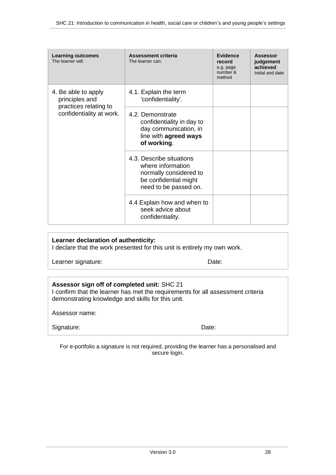| <b>Learning outcomes</b><br>The learner will:                                              | Assessment criteria<br>The learner can:                                                                                   | <b>Evidence</b><br>record<br>e.g. page<br>number &<br>method | <b>Assessor</b><br>judgement<br>achieved<br>Initial and date |
|--------------------------------------------------------------------------------------------|---------------------------------------------------------------------------------------------------------------------------|--------------------------------------------------------------|--------------------------------------------------------------|
| 4. Be able to apply<br>principles and<br>practices relating to<br>confidentiality at work. | 4.1. Explain the term<br>'confidentiality'.                                                                               |                                                              |                                                              |
|                                                                                            | 4.2. Demonstrate<br>confidentiality in day to<br>day communication, in<br>line with agreed ways<br>of working.            |                                                              |                                                              |
|                                                                                            | 4.3. Describe situations<br>where information<br>normally considered to<br>be confidential might<br>need to be passed on. |                                                              |                                                              |
|                                                                                            | 4.4 Explain how and when to<br>seek advice about<br>confidentiality.                                                      |                                                              |                                                              |

#### **Learner declaration of authenticity:**

I declare that the work presented for this unit is entirely my own work.

Learner signature: Date:

### **Assessor sign off of completed unit:** SHC 21

I confirm that the learner has met the requirements for all assessment criteria demonstrating knowledge and skills for this unit.

Assessor name:

| Signature: | Date: |
|------------|-------|
|            |       |

For e-portfolio a signature is not required, providing the learner has a personalised and secure login.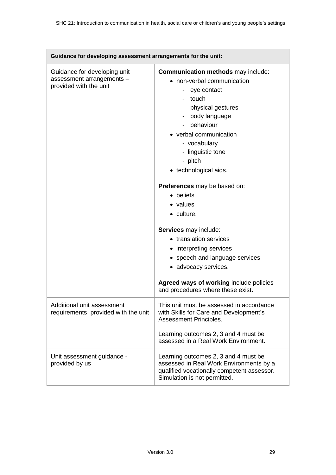| Guidance for developing assessment arrangements for the unit:                       |                                                                                                                                                                                                                                                                 |  |
|-------------------------------------------------------------------------------------|-----------------------------------------------------------------------------------------------------------------------------------------------------------------------------------------------------------------------------------------------------------------|--|
| Guidance for developing unit<br>assessment arrangements -<br>provided with the unit | <b>Communication methods</b> may include:<br>• non-verbal communication<br>- eye contact<br>- touch<br>- physical gestures<br>- body language<br>- behaviour<br>• verbal communication<br>- vocabulary<br>- linguistic tone<br>- pitch<br>• technological aids. |  |
|                                                                                     | Preferences may be based on:<br>• beliefs<br>• values<br>• culture.<br>Services may include:<br>• translation services<br>• interpreting services<br>• speech and language services<br>• advocacy services.                                                     |  |
|                                                                                     | Agreed ways of working include policies<br>and procedures where these exist.                                                                                                                                                                                    |  |
| Additional unit assessment<br>requirements provided with the unit                   | This unit must be assessed in accordance<br>with Skills for Care and Development's<br>Assessment Principles.<br>Learning outcomes 2, 3 and 4 must be<br>assessed in a Real Work Environment.                                                                    |  |
| Unit assessment guidance -<br>provided by us                                        | Learning outcomes 2, 3 and 4 must be<br>assessed in Real Work Environments by a<br>qualified vocationally competent assessor.<br>Simulation is not permitted.                                                                                                   |  |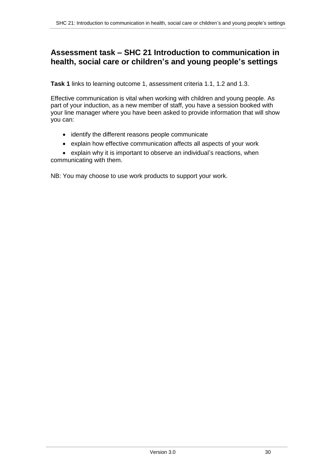## **Assessment task – SHC 21 Introduction to communication in health, social care or children's and young people's settings**

**Task 1** links to learning outcome 1, assessment criteria 1.1, 1.2 and 1.3.

Effective communication is vital when working with children and young people. As part of your induction, as a new member of staff, you have a session booked with your line manager where you have been asked to provide information that will show you can:

- identify the different reasons people communicate
- explain how effective communication affects all aspects of your work

 explain why it is important to observe an individual's reactions, when communicating with them.

NB: You may choose to use work products to support your work.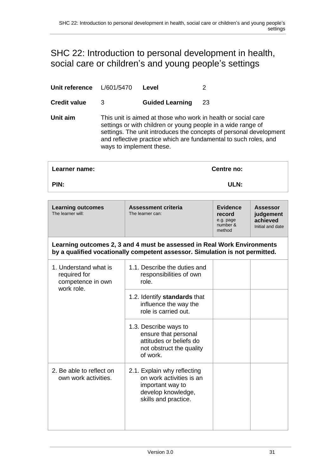# <span id="page-30-1"></span><span id="page-30-0"></span>SHC 22: Introduction to personal development in health, social care or children's and young people's settings

| Unit reference                                                           | L/601/5470                                                                                                                                                                                                                                                                                          |                                                                               | Level                                                                                                                                                   | 2  |                                                              |                                                              |
|--------------------------------------------------------------------------|-----------------------------------------------------------------------------------------------------------------------------------------------------------------------------------------------------------------------------------------------------------------------------------------------------|-------------------------------------------------------------------------------|---------------------------------------------------------------------------------------------------------------------------------------------------------|----|--------------------------------------------------------------|--------------------------------------------------------------|
| <b>Credit value</b>                                                      | 3                                                                                                                                                                                                                                                                                                   |                                                                               | <b>Guided Learning</b>                                                                                                                                  | 23 |                                                              |                                                              |
| Unit aim                                                                 | This unit is aimed at those who work in health or social care<br>settings or with children or young people in a wide range of<br>settings. The unit introduces the concepts of personal development<br>and reflective practice which are fundamental to such roles, and<br>ways to implement these. |                                                                               |                                                                                                                                                         |    |                                                              |                                                              |
| Learner name:                                                            |                                                                                                                                                                                                                                                                                                     |                                                                               |                                                                                                                                                         |    | Centre no:                                                   |                                                              |
| PIN:                                                                     |                                                                                                                                                                                                                                                                                                     |                                                                               |                                                                                                                                                         |    | ULN:                                                         |                                                              |
| <b>Learning outcomes</b><br>The learner will:                            |                                                                                                                                                                                                                                                                                                     |                                                                               | <b>Assessment criteria</b><br>The learner can:                                                                                                          |    | <b>Evidence</b><br>record<br>e.g. page<br>number &<br>method | <b>Assessor</b><br>judgement<br>achieved<br>Initial and date |
|                                                                          |                                                                                                                                                                                                                                                                                                     |                                                                               | Learning outcomes 2, 3 and 4 must be assessed in Real Work Environments<br>by a qualified vocationally competent assessor. Simulation is not permitted. |    |                                                              |                                                              |
| 1. Understand what is<br>required for<br>competence in own<br>work role. |                                                                                                                                                                                                                                                                                                     | 1.1. Describe the duties and<br>responsibilities of own<br>role.              |                                                                                                                                                         |    |                                                              |                                                              |
|                                                                          |                                                                                                                                                                                                                                                                                                     | 1.2. Identify standards that<br>influence the way the<br>role is carried out. |                                                                                                                                                         |    |                                                              |                                                              |
|                                                                          |                                                                                                                                                                                                                                                                                                     |                                                                               | 1.3. Describe ways to<br>ensure that personal<br>attitudes or beliefs do<br>not obstruct the quality<br>of work.                                        |    |                                                              |                                                              |
| 2. Be able to reflect on<br>own work activities.                         |                                                                                                                                                                                                                                                                                                     |                                                                               | 2.1. Explain why reflecting<br>on work activities is an<br>important way to<br>develop knowledge,<br>skills and practice.                               |    |                                                              |                                                              |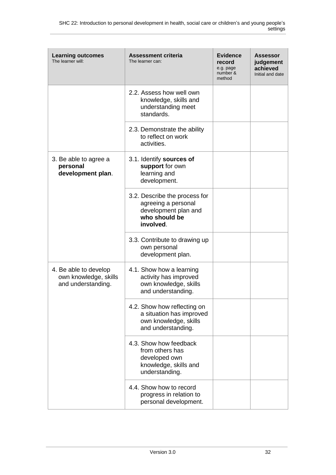| <b>Learning outcomes</b><br>The learner will:                        | <b>Assessment criteria</b><br>The learner can:                                                             | <b>Evidence</b><br>record<br>e.g. page<br>number &<br>method | Assessor<br>judgement<br>achieved<br>Initial and date |
|----------------------------------------------------------------------|------------------------------------------------------------------------------------------------------------|--------------------------------------------------------------|-------------------------------------------------------|
|                                                                      | 2.2. Assess how well own<br>knowledge, skills and<br>understanding meet<br>standards.                      |                                                              |                                                       |
|                                                                      | 2.3. Demonstrate the ability<br>to reflect on work<br>activities.                                          |                                                              |                                                       |
| 3. Be able to agree a<br>personal<br>development plan.               | 3.1. Identify sources of<br>support for own<br>learning and<br>development.                                |                                                              |                                                       |
|                                                                      | 3.2. Describe the process for<br>agreeing a personal<br>development plan and<br>who should be<br>involved. |                                                              |                                                       |
|                                                                      | 3.3. Contribute to drawing up<br>own personal<br>development plan.                                         |                                                              |                                                       |
| 4. Be able to develop<br>own knowledge, skills<br>and understanding. | 4.1. Show how a learning<br>activity has improved<br>own knowledge, skills<br>and understanding.           |                                                              |                                                       |
|                                                                      | 4.2. Show how reflecting on<br>a situation has improved<br>own knowledge, skills<br>and understanding.     |                                                              |                                                       |
|                                                                      | 4.3. Show how feedback<br>from others has<br>developed own<br>knowledge, skills and<br>understanding.      |                                                              |                                                       |
|                                                                      | 4.4. Show how to record<br>progress in relation to<br>personal development.                                |                                                              |                                                       |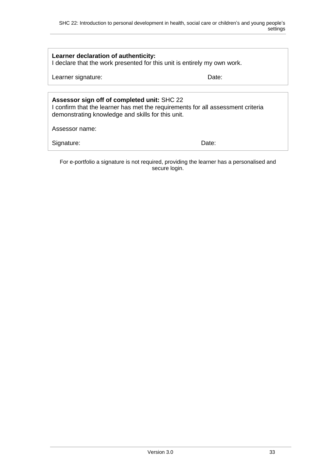| Learner declaration of authenticity:<br>I declare that the work presented for this unit is entirely my own work.                                                                    |       |  |
|-------------------------------------------------------------------------------------------------------------------------------------------------------------------------------------|-------|--|
| Learner signature:                                                                                                                                                                  | Date: |  |
|                                                                                                                                                                                     |       |  |
| Assessor sign off of completed unit: SHC 22<br>I confirm that the learner has met the requirements for all assessment criteria<br>demonstrating knowledge and skills for this unit. |       |  |
| Assessor name:                                                                                                                                                                      |       |  |
| Signature:                                                                                                                                                                          | Date: |  |

For e-portfolio a signature is not required, providing the learner has a personalised and secure login.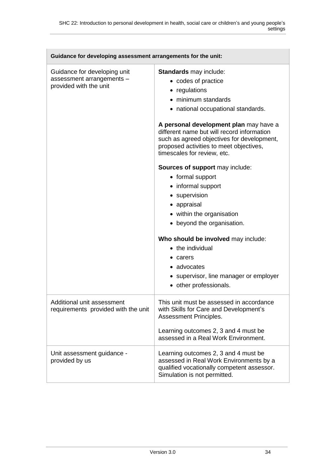$\overline{\phantom{a}}$ 

| Guidance for developing assessment arrangements for the unit:                       |                                                                                                                                                                                                                                                                                                                                             |  |
|-------------------------------------------------------------------------------------|---------------------------------------------------------------------------------------------------------------------------------------------------------------------------------------------------------------------------------------------------------------------------------------------------------------------------------------------|--|
| Guidance for developing unit<br>assessment arrangements -<br>provided with the unit | Standards may include:<br>• codes of practice<br>• regulations<br>• minimum standards<br>• national occupational standards.<br>A personal development plan may have a<br>different name but will record information<br>such as agreed objectives for development,<br>proposed activities to meet objectives,<br>timescales for review, etc. |  |
|                                                                                     | Sources of support may include:<br>• formal support<br>• informal support<br>• supervision<br>• appraisal<br>• within the organisation<br>• beyond the organisation.<br>Who should be involved may include:<br>• the individual<br>$\bullet$ carers<br>• advocates<br>• supervisor, line manager or employer<br>• other professionals.      |  |
| Additional unit assessment<br>requirements provided with the unit                   | This unit must be assessed in accordance<br>with Skills for Care and Development's<br>Assessment Principles.<br>Learning outcomes 2, 3 and 4 must be<br>assessed in a Real Work Environment.                                                                                                                                                |  |
| Unit assessment guidance -<br>provided by us                                        | Learning outcomes 2, 3 and 4 must be<br>assessed in Real Work Environments by a<br>qualified vocationally competent assessor.<br>Simulation is not permitted.                                                                                                                                                                               |  |

 $\overline{\phantom{0}}$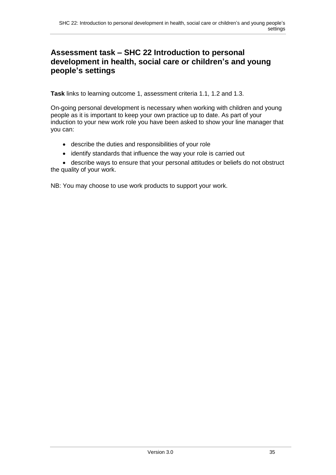# **Assessment task – SHC 22 Introduction to personal development in health, social care or children's and young people's settings**

**Task** links to learning outcome 1, assessment criteria 1.1, 1.2 and 1.3.

On-going personal development is necessary when working with children and young people as it is important to keep your own practice up to date. As part of your induction to your new work role you have been asked to show your line manager that you can:

- describe the duties and responsibilities of your role
- identify standards that influence the way your role is carried out

 describe ways to ensure that your personal attitudes or beliefs do not obstruct the quality of your work.

NB: You may choose to use work products to support your work.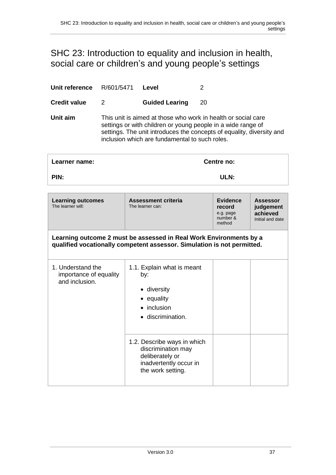# <span id="page-36-0"></span>SHC 23: Introduction to equality and inclusion in health, social care or children's and young people's settings

| Unit reference                                                | R/601/5471                                                                                                                                    | Level<br>2                                                                                                                                                                                                                                               |                                                              |                                                              |
|---------------------------------------------------------------|-----------------------------------------------------------------------------------------------------------------------------------------------|----------------------------------------------------------------------------------------------------------------------------------------------------------------------------------------------------------------------------------------------------------|--------------------------------------------------------------|--------------------------------------------------------------|
| <b>Credit value</b>                                           | $\overline{2}$                                                                                                                                | <b>Guided Learing</b>                                                                                                                                                                                                                                    | 20                                                           |                                                              |
| Unit aim                                                      |                                                                                                                                               | This unit is aimed at those who work in health or social care<br>settings or with children or young people in a wide range of<br>settings. The unit introduces the concepts of equality, diversity and<br>inclusion which are fundamental to such roles. |                                                              |                                                              |
| Learner name:                                                 |                                                                                                                                               |                                                                                                                                                                                                                                                          | Centre no:                                                   |                                                              |
| PIN:                                                          |                                                                                                                                               |                                                                                                                                                                                                                                                          | ULN:                                                         |                                                              |
| <b>Learning outcomes</b><br>The learner will:                 |                                                                                                                                               | <b>Assessment criteria</b><br>The learner can:                                                                                                                                                                                                           | <b>Evidence</b><br>record<br>e.g. page<br>number &<br>method | <b>Assessor</b><br>judgement<br>achieved<br>Initial and date |
|                                                               | Learning outcome 2 must be assessed in Real Work Environments by a<br>qualified vocationally competent assessor. Simulation is not permitted. |                                                                                                                                                                                                                                                          |                                                              |                                                              |
| 1. Understand the<br>importance of equality<br>and inclusion. |                                                                                                                                               | 1.1. Explain what is meant<br>by:<br>• diversity<br>• equality<br>• inclusion<br>· discrimination.<br>1.2. Describe ways in which<br>discrimination may<br>deliberately or<br>inadvertently occur in<br>the work setting.                                |                                                              |                                                              |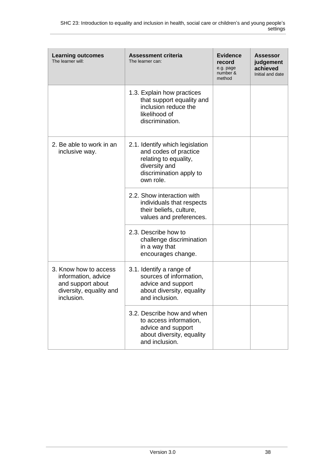| <b>Learning outcomes</b><br>The learner will:                                                              | <b>Assessment criteria</b><br>The learner can:                                                                                             | <b>Evidence</b><br>record<br>e.g. page<br>number &<br>method | <b>Assessor</b><br>judgement<br>achieved<br>Initial and date |
|------------------------------------------------------------------------------------------------------------|--------------------------------------------------------------------------------------------------------------------------------------------|--------------------------------------------------------------|--------------------------------------------------------------|
|                                                                                                            | 1.3. Explain how practices<br>that support equality and<br>inclusion reduce the<br>likelihood of<br>discrimination.                        |                                                              |                                                              |
| 2. Be able to work in an<br>inclusive way.                                                                 | 2.1. Identify which legislation<br>and codes of practice<br>relating to equality,<br>diversity and<br>discrimination apply to<br>own role. |                                                              |                                                              |
|                                                                                                            | 2.2. Show interaction with<br>individuals that respects<br>their beliefs, culture,<br>values and preferences.                              |                                                              |                                                              |
|                                                                                                            | 2.3. Describe how to<br>challenge discrimination<br>in a way that<br>encourages change.                                                    |                                                              |                                                              |
| 3. Know how to access<br>information, advice<br>and support about<br>diversity, equality and<br>inclusion. | 3.1. Identify a range of<br>sources of information,<br>advice and support<br>about diversity, equality<br>and inclusion.                   |                                                              |                                                              |
|                                                                                                            | 3.2. Describe how and when<br>to access information,<br>advice and support<br>about diversity, equality<br>and inclusion.                  |                                                              |                                                              |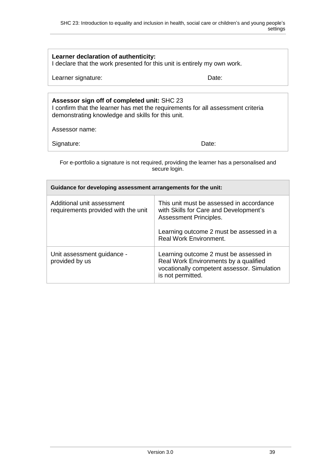| Learner declaration of authenticity:<br>I declare that the work presented for this unit is entirely my own work.                                                                                      |                                                                                                              |  |  |
|-------------------------------------------------------------------------------------------------------------------------------------------------------------------------------------------------------|--------------------------------------------------------------------------------------------------------------|--|--|
| Learner signature:                                                                                                                                                                                    | Date:                                                                                                        |  |  |
|                                                                                                                                                                                                       |                                                                                                              |  |  |
| Assessor sign off of completed unit: SHC 23<br>I confirm that the learner has met the requirements for all assessment criteria<br>demonstrating knowledge and skills for this unit.<br>Assessor name: |                                                                                                              |  |  |
| Signature:<br>Date:                                                                                                                                                                                   |                                                                                                              |  |  |
| For e-portfolio a signature is not required, providing the learner has a personalised and<br>secure login.                                                                                            |                                                                                                              |  |  |
| Guidance for developing assessment arrangements for the unit:                                                                                                                                         |                                                                                                              |  |  |
| Additional unit assessment<br>requirements provided with the unit                                                                                                                                     | This unit must be assessed in accordance<br>with Skills for Care and Development's<br>Assessment Principles. |  |  |
| Learning outcome 2 must be assessed in a                                                                                                                                                              |                                                                                                              |  |  |

| Unit assessment guidance -<br>provided by us | Learning outcome 2 must be assessed in<br>Real Work Environments by a qualified<br>vocationally competent assessor. Simulation<br>is not permitted. |
|----------------------------------------------|-----------------------------------------------------------------------------------------------------------------------------------------------------|
|                                              |                                                                                                                                                     |

Real Work Environment.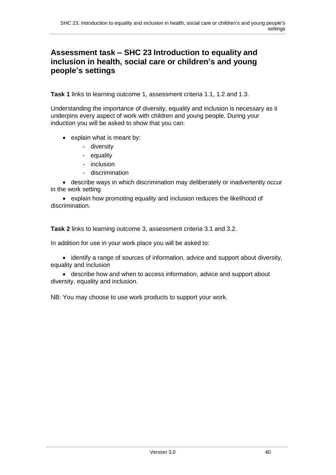## **Assessment task – SHC 23 Introduction to equality and inclusion in health, social care or children's and young people's settings**

**Task 1** links to learning outcome 1, assessment criteria 1.1, 1.2 and 1.3.

Understanding the importance of diversity, equality and inclusion is necessary as it underpins every aspect of work with children and young people. During your induction you will be asked to show that you can:

- explain what is meant by:
	- diversity
	- equality
	- inclusion
	- discrimination

 describe ways in which discrimination may deliberately or inadvertently occur in the work setting

 explain how promoting equality and inclusion reduces the likelihood of discrimination.

**Task 2** links to learning outcome 3, assessment criteria 3.1 and 3.2.

In addition for use in your work place you will be asked to:

• identify a range of sources of information, advice and support about diversity, equality and inclusion

 describe how and when to access information, advice and support about diversity, equality and inclusion.

NB: You may choose to use work products to support your work.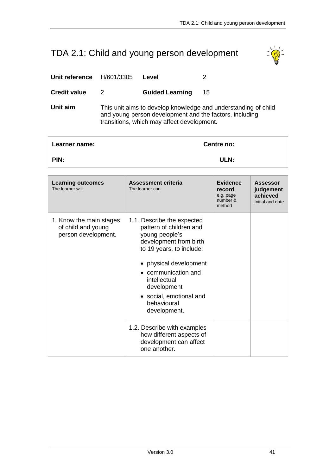# <span id="page-40-0"></span>TDA 2.1: Child and young person development



| Unit reference<br>H/601/3305<br>Level |  |
|---------------------------------------|--|
|---------------------------------------|--|

**Credit value** 2 **Guided Learning** 15

**Unit aim** This unit aims to develop knowledge and understanding of child and young person development and the factors, including transitions, which may affect development.

| Learner name: | Centre no: |  |
|---------------|------------|--|
| PIN:          | ULN:       |  |

| <b>Learning outcomes</b><br>The learner will:                        | <b>Assessment criteria</b><br>The learner can:                                                                                                                                                                                                                          | <b>Evidence</b><br>record<br>e.g. page<br>number &<br>method | <b>Assessor</b><br>judgement<br>achieved<br>Initial and date |
|----------------------------------------------------------------------|-------------------------------------------------------------------------------------------------------------------------------------------------------------------------------------------------------------------------------------------------------------------------|--------------------------------------------------------------|--------------------------------------------------------------|
| 1. Know the main stages<br>of child and young<br>person development. | 1.1. Describe the expected<br>pattern of children and<br>young people's<br>development from birth<br>to 19 years, to include:<br>• physical development<br>• communication and<br>intellectual<br>development<br>• social, emotional and<br>behavioural<br>development. |                                                              |                                                              |
|                                                                      | 1.2. Describe with examples<br>how different aspects of<br>development can affect<br>one another.                                                                                                                                                                       |                                                              |                                                              |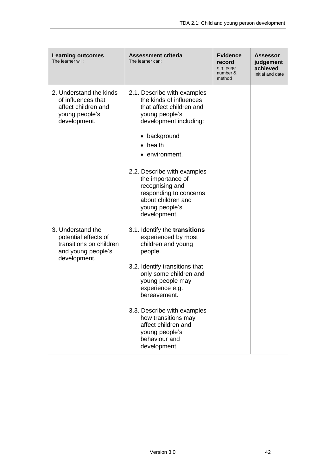| <b>Learning outcomes</b><br>The learner will:                                                          | <b>Assessment criteria</b><br>The learner can:                                                                                                                                     | <b>Evidence</b><br>record<br>e.g. page<br>number &<br>method | <b>Assessor</b><br>judgement<br>achieved<br>Initial and date |
|--------------------------------------------------------------------------------------------------------|------------------------------------------------------------------------------------------------------------------------------------------------------------------------------------|--------------------------------------------------------------|--------------------------------------------------------------|
| 2. Understand the kinds<br>of influences that<br>affect children and<br>young people's<br>development. | 2.1. Describe with examples<br>the kinds of influences<br>that affect children and<br>young people's<br>development including:<br>• background<br>$\bullet$ health<br>environment. |                                                              |                                                              |
|                                                                                                        | 2.2. Describe with examples<br>the importance of<br>recognising and<br>responding to concerns<br>about children and<br>young people's<br>development.                              |                                                              |                                                              |
| 3. Understand the<br>potential effects of<br>transitions on children<br>and young people's             | 3.1. Identify the transitions<br>experienced by most<br>children and young<br>people.                                                                                              |                                                              |                                                              |
| development.                                                                                           | 3.2. Identify transitions that<br>only some children and<br>young people may<br>experience e.g.<br>bereavement.                                                                    |                                                              |                                                              |
|                                                                                                        | 3.3. Describe with examples<br>how transitions may<br>affect children and<br>young people's<br>behaviour and<br>development.                                                       |                                                              |                                                              |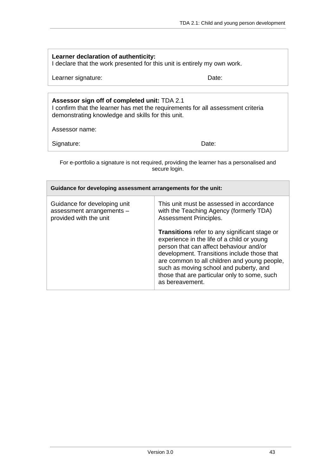| Learner declaration of authenticity:<br>I declare that the work presented for this unit is entirely my own work.                                                                                       |                                                                                                                                                                |  |  |  |
|--------------------------------------------------------------------------------------------------------------------------------------------------------------------------------------------------------|----------------------------------------------------------------------------------------------------------------------------------------------------------------|--|--|--|
| Date:<br>Learner signature:                                                                                                                                                                            |                                                                                                                                                                |  |  |  |
| Assessor sign off of completed unit: TDA 2.1<br>I confirm that the learner has met the requirements for all assessment criteria<br>demonstrating knowledge and skills for this unit.<br>Assessor name: |                                                                                                                                                                |  |  |  |
| Signature:<br>Date:                                                                                                                                                                                    |                                                                                                                                                                |  |  |  |
| For e-portfolio a signature is not required, providing the learner has a personalised and<br>secure login.                                                                                             |                                                                                                                                                                |  |  |  |
| Guidance for developing assessment arrangements for the unit:                                                                                                                                          |                                                                                                                                                                |  |  |  |
| Guidance for developing unit<br>assessment arrangements -<br>provided with the unit                                                                                                                    | This unit must be assessed in accordance<br>with the Teaching Agency (formerly TDA)<br>Assessment Principles.<br>Transitions refer to any significant stage or |  |  |  |

experience in the life of a child or young person that can affect behaviour and/or development. Transitions include those that are common to all children and young people, such as moving school and puberty, and those that are particular only to some, such as bereavement.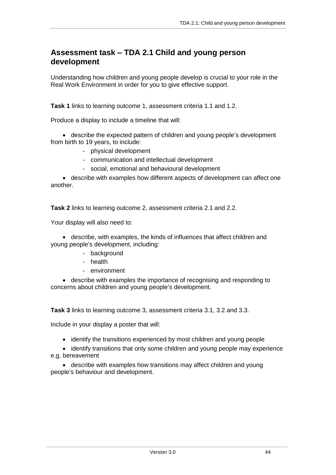## **Assessment task – TDA 2.1 Child and young person development**

Understanding how children and young people develop is crucial to your role in the Real Work Environment in order for you to give effective support.

**Task 1** links to learning outcome 1, assessment criteria 1.1 and 1.2.

Produce a display to include a timeline that will:

 describe the expected pattern of children and young people's development from birth to 19 years, to include:

- physical development
- communication and intellectual development
- social, emotional and behavioural development

 describe with examples how different aspects of development can affect one another.

**Task 2** links to learning outcome 2, assessment criteria 2.1 and 2.2.

Your display will also need to:

 describe, with examples, the kinds of influences that affect children and young people's development, including:

- background
- health
- environment

 describe with examples the importance of recognising and responding to concerns about children and young people's development.

**Task 3** links to learning outcome 3, assessment criteria 3.1, 3.2 and 3.3.

Include in your display a poster that will:

• identify the transitions experienced by most children and young people

• identify transitions that only some children and young people may experience e.g. bereavement

 describe with examples how transitions may affect children and young people's behaviour and development.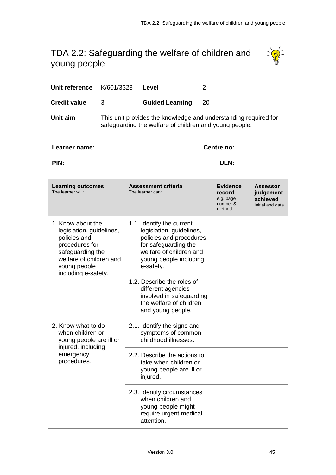# <span id="page-44-0"></span>TDA 2.2: Safeguarding the welfare of children and young people



| Unit reference K/601/3323 |   | Level                                                  |                                                                 |
|---------------------------|---|--------------------------------------------------------|-----------------------------------------------------------------|
| <b>Credit value</b>       | 3 | <b>Guided Learning</b>                                 | 20                                                              |
| Unit aim                  |   | safeguarding the welfare of children and young people. | This unit provides the knowledge and understanding required for |

| Learner name: | Centre no: |
|---------------|------------|
| PIN:          | ULN:       |

| <b>Learning outcomes</b><br>The learner will:                                                                                                                         | <b>Assessment criteria</b><br>The learner can:                                                                                                                             | <b>Evidence</b><br>record<br>e.g. page<br>number &<br>method | Assessor<br>judgement<br>achieved<br>Initial and date |
|-----------------------------------------------------------------------------------------------------------------------------------------------------------------------|----------------------------------------------------------------------------------------------------------------------------------------------------------------------------|--------------------------------------------------------------|-------------------------------------------------------|
| 1. Know about the<br>legislation, guidelines,<br>policies and<br>procedures for<br>safeguarding the<br>welfare of children and<br>young people<br>including e-safety. | 1.1. Identify the current<br>legislation, guidelines,<br>policies and procedures<br>for safeguarding the<br>welfare of children and<br>young people including<br>e-safety. |                                                              |                                                       |
|                                                                                                                                                                       | 1.2. Describe the roles of<br>different agencies<br>involved in safeguarding<br>the welfare of children<br>and young people.                                               |                                                              |                                                       |
| 2. Know what to do<br>when children or<br>young people are ill or<br>injured, including                                                                               | 2.1. Identify the signs and<br>symptoms of common<br>childhood illnesses.                                                                                                  |                                                              |                                                       |
| emergency<br>procedures.                                                                                                                                              | 2.2. Describe the actions to<br>take when children or<br>young people are ill or<br>injured.                                                                               |                                                              |                                                       |
|                                                                                                                                                                       | 2.3. Identify circumstances<br>when children and<br>young people might<br>require urgent medical<br>attention.                                                             |                                                              |                                                       |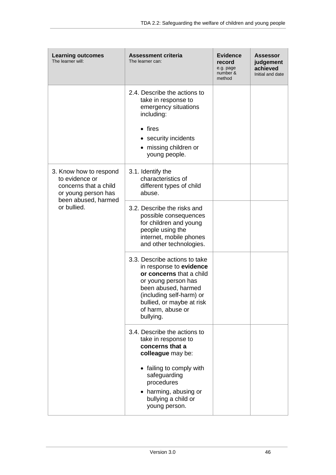| <b>Learning outcomes</b><br>The learner will:                                            | <b>Assessment criteria</b><br>The learner can:                                                                                                                                                                                | <b>Evidence</b><br>record<br>e.g. page<br>number &<br>method | <b>Assessor</b><br>judgement<br>achieved<br>Initial and date |
|------------------------------------------------------------------------------------------|-------------------------------------------------------------------------------------------------------------------------------------------------------------------------------------------------------------------------------|--------------------------------------------------------------|--------------------------------------------------------------|
|                                                                                          | 2.4. Describe the actions to<br>take in response to<br>emergency situations<br>including:<br>$\bullet$ fires<br>• security incidents<br>• missing children or<br>young people.                                                |                                                              |                                                              |
| 3. Know how to respond<br>to evidence or<br>concerns that a child<br>or young person has | 3.1. Identify the<br>characteristics of<br>different types of child<br>abuse.                                                                                                                                                 |                                                              |                                                              |
| been abused, harmed<br>or bullied.                                                       | 3.2. Describe the risks and<br>possible consequences<br>for children and young<br>people using the<br>internet, mobile phones<br>and other technologies.                                                                      |                                                              |                                                              |
|                                                                                          | 3.3. Describe actions to take<br>in response to evidence<br>or concerns that a child<br>or young person has<br>been abused, harmed<br>(including self-harm) or<br>bullied, or maybe at risk<br>of harm, abuse or<br>bullying. |                                                              |                                                              |
|                                                                                          | 3.4. Describe the actions to<br>take in response to<br>concerns that a<br>colleague may be:                                                                                                                                   |                                                              |                                                              |
|                                                                                          | • failing to comply with<br>safeguarding<br>procedures<br>harming, abusing or<br>bullying a child or<br>young person.                                                                                                         |                                                              |                                                              |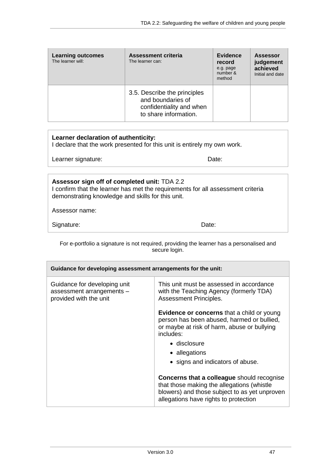| <b>Learning outcomes</b><br>The learner will: | Assessment criteria<br>The learner can:                                                                | Evidence<br>record<br>e.g. page<br>number &<br>method | <b>Assessor</b><br>judgement<br>achieved<br>Initial and date |
|-----------------------------------------------|--------------------------------------------------------------------------------------------------------|-------------------------------------------------------|--------------------------------------------------------------|
|                                               | 3.5. Describe the principles<br>and boundaries of<br>confidentiality and when<br>to share information. |                                                       |                                                              |

| Learner declaration of authenticity:<br>I declare that the work presented for this unit is entirely my own work.                                                                     |       |  |
|--------------------------------------------------------------------------------------------------------------------------------------------------------------------------------------|-------|--|
| Learner signature:                                                                                                                                                                   | Date: |  |
|                                                                                                                                                                                      |       |  |
| Assessor sign off of completed unit: TDA 2.2<br>I confirm that the learner has met the requirements for all assessment criteria<br>demonstrating knowledge and skills for this unit. |       |  |
| Assessor name:                                                                                                                                                                       |       |  |
| Signature:                                                                                                                                                                           | Date: |  |

For e-portfolio a signature is not required, providing the learner has a personalised and secure login.

| Guidance for developing assessment arrangements for the unit:                       |                                                                                                                                                                                                                                  |
|-------------------------------------------------------------------------------------|----------------------------------------------------------------------------------------------------------------------------------------------------------------------------------------------------------------------------------|
| Guidance for developing unit<br>assessment arrangements -<br>provided with the unit | This unit must be assessed in accordance<br>with the Teaching Agency (formerly TDA)<br>Assessment Principles.                                                                                                                    |
|                                                                                     | <b>Evidence or concerns</b> that a child or young<br>person has been abused, harmed or bullied,<br>or maybe at risk of harm, abuse or bullying<br>includes:<br>• disclosure<br>• allegations<br>• signs and indicators of abuse. |
|                                                                                     | Concerns that a colleague should recognise<br>that those making the allegations (whistle<br>blowers) and those subject to as yet unproven<br>allegations have rights to protection                                               |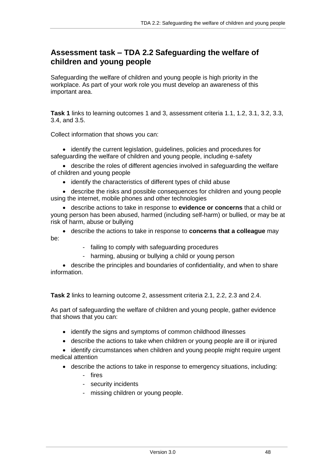## **Assessment task – TDA 2.2 Safeguarding the welfare of children and young people**

Safeguarding the welfare of children and young people is high priority in the workplace. As part of your work role you must develop an awareness of this important area.

**Task 1** links to learning outcomes 1 and 3, assessment criteria 1.1, 1.2, 3.1, 3.2, 3.3, 3.4, and 3.5.

Collect information that shows you can:

 identify the current legislation, guidelines, policies and procedures for safeguarding the welfare of children and young people, including e-safety

 describe the roles of different agencies involved in safeguarding the welfare of children and young people

• identify the characteristics of different types of child abuse

 describe the risks and possible consequences for children and young people using the internet, mobile phones and other technologies

 describe actions to take in response to **evidence or concerns** that a child or young person has been abused, harmed (including self-harm) or bullied, or may be at risk of harm, abuse or bullying

 describe the actions to take in response to **concerns that a colleague** may be:

- failing to comply with safeguarding procedures
- harming, abusing or bullying a child or young person

 describe the principles and boundaries of confidentiality, and when to share information.

**Task 2** links to learning outcome 2, assessment criteria 2.1, 2.2, 2.3 and 2.4.

As part of safeguarding the welfare of children and young people, gather evidence that shows that you can:

- identify the signs and symptoms of common childhood illnesses
- describe the actions to take when children or young people are ill or injured

• identify circumstances when children and young people might require urgent medical attention

- describe the actions to take in response to emergency situations, including: - fires
	- security incidents
	- missing children or young people.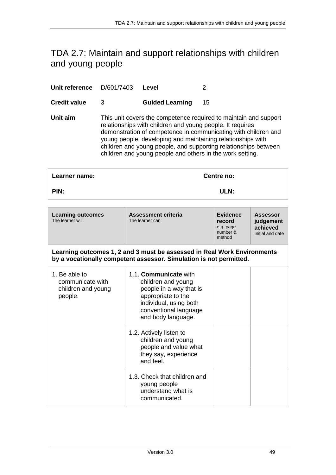# <span id="page-48-0"></span>TDA 2.7: Maintain and support relationships with children and young people

| Unit reference      | D/601/7403 | Level                                                                                                                  |                                                                                                                                                                                                                                                                      |
|---------------------|------------|------------------------------------------------------------------------------------------------------------------------|----------------------------------------------------------------------------------------------------------------------------------------------------------------------------------------------------------------------------------------------------------------------|
| <b>Credit value</b> | 3          | <b>Guided Learning</b>                                                                                                 | 15                                                                                                                                                                                                                                                                   |
| Unit aim            |            | relationships with children and young people. It requires<br>children and young people and others in the work setting. | This unit covers the competence required to maintain and support<br>demonstration of competence in communicating with children and<br>young people, developing and maintaining relationships with<br>children and young people, and supporting relationships between |
|                     |            |                                                                                                                        |                                                                                                                                                                                                                                                                      |

| Learner name: | Centre no: |  |
|---------------|------------|--|
| PIN:          | ULN:       |  |
|               |            |  |

| <b>Learning outcomes</b><br>The learner will:                      | Assessment criteria<br>The learner can:                                                                                                                               | <b>Evidence</b><br>record<br>e.g. page<br>number &<br>method | <b>Assessor</b><br>judgement<br>achieved<br>Initial and date |
|--------------------------------------------------------------------|-----------------------------------------------------------------------------------------------------------------------------------------------------------------------|--------------------------------------------------------------|--------------------------------------------------------------|
|                                                                    | Learning outcomes 1, 2 and 3 must be assessed in Real Work Environments<br>by a vocationally competent assessor. Simulation is not permitted.                         |                                                              |                                                              |
| 1. Be able to<br>communicate with<br>children and young<br>people. | 1.1. Communicate with<br>children and young<br>people in a way that is<br>appropriate to the<br>individual, using both<br>conventional language<br>and body language. |                                                              |                                                              |
|                                                                    | 1.2. Actively listen to<br>children and young<br>people and value what<br>they say, experience<br>and feel.                                                           |                                                              |                                                              |
|                                                                    | 1.3. Check that children and<br>young people<br>understand what is<br>communicated.                                                                                   |                                                              |                                                              |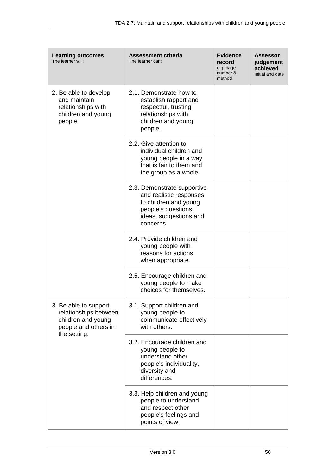| <b>Learning outcomes</b><br>The learner will:                                                                | <b>Assessment criteria</b><br>The learner can:                                                                                                | Evidence<br>record<br>e.g. page<br>number &<br>method | <b>Assessor</b><br>judgement<br>achieved<br>Initial and date |
|--------------------------------------------------------------------------------------------------------------|-----------------------------------------------------------------------------------------------------------------------------------------------|-------------------------------------------------------|--------------------------------------------------------------|
| 2. Be able to develop<br>and maintain<br>relationships with<br>children and young<br>people.                 | 2.1. Demonstrate how to<br>establish rapport and<br>respectful, trusting<br>relationships with<br>children and young<br>people.               |                                                       |                                                              |
|                                                                                                              | 2.2. Give attention to<br>individual children and<br>young people in a way<br>that is fair to them and<br>the group as a whole.               |                                                       |                                                              |
|                                                                                                              | 2.3. Demonstrate supportive<br>and realistic responses<br>to children and young<br>people's questions,<br>ideas, suggestions and<br>concerns. |                                                       |                                                              |
|                                                                                                              | 2.4. Provide children and<br>young people with<br>reasons for actions<br>when appropriate.                                                    |                                                       |                                                              |
|                                                                                                              | 2.5. Encourage children and<br>young people to make<br>choices for themselves.                                                                |                                                       |                                                              |
| 3. Be able to support<br>relationships between<br>children and young<br>people and others in<br>the setting. | 3.1. Support children and<br>young people to<br>communicate effectively<br>with others.                                                       |                                                       |                                                              |
|                                                                                                              | 3.2. Encourage children and<br>young people to<br>understand other<br>people's individuality,<br>diversity and<br>differences.                |                                                       |                                                              |
|                                                                                                              | 3.3. Help children and young<br>people to understand<br>and respect other<br>people's feelings and<br>points of view.                         |                                                       |                                                              |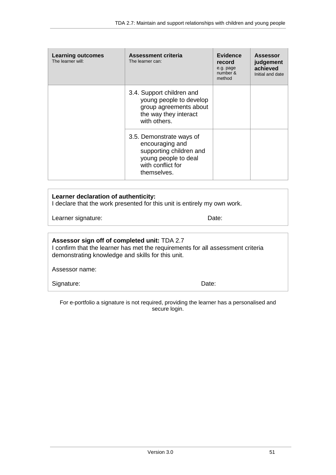| <b>Learning outcomes</b><br>The learner will: | <b>Assessment criteria</b><br>The learner can:                                                                                     | Evidence<br>record<br>e.g. page<br>number &<br>method | <b>Assessor</b><br>judgement<br>achieved<br>Initial and date |
|-----------------------------------------------|------------------------------------------------------------------------------------------------------------------------------------|-------------------------------------------------------|--------------------------------------------------------------|
|                                               | 3.4. Support children and<br>young people to develop<br>group agreements about<br>the way they interact<br>with others.            |                                                       |                                                              |
|                                               | 3.5. Demonstrate ways of<br>encouraging and<br>supporting children and<br>young people to deal<br>with conflict for<br>themselves. |                                                       |                                                              |

| Learner declaration of authenticity:<br>I declare that the work presented for this unit is entirely my own work.                |       |
|---------------------------------------------------------------------------------------------------------------------------------|-------|
| Learner signature:                                                                                                              | Date: |
|                                                                                                                                 |       |
| Assessor sign off of completed unit: TDA 2.7<br>I confirm that the learner has met the requirements for all assessment criteria |       |

| I confirm that the learner has met the requirements for all assessment criteria |  |
|---------------------------------------------------------------------------------|--|
| demonstrating knowledge and skills for this unit.                               |  |
|                                                                                 |  |

Assessor name:

Signature: Date: Date:

For e-portfolio a signature is not required, providing the learner has a personalised and secure login.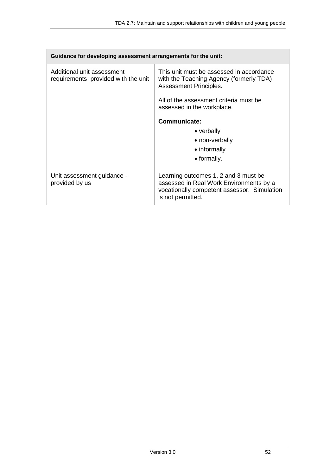| Guidance for developing assessment arrangements for the unit:     |                                                                                                                                                         |  |
|-------------------------------------------------------------------|---------------------------------------------------------------------------------------------------------------------------------------------------------|--|
| Additional unit assessment<br>requirements provided with the unit | This unit must be assessed in accordance<br>with the Teaching Agency (formerly TDA)<br>Assessment Principles.<br>All of the assessment criteria must be |  |
|                                                                   | assessed in the workplace.                                                                                                                              |  |
|                                                                   | Communicate:                                                                                                                                            |  |
|                                                                   | • verbally                                                                                                                                              |  |
|                                                                   | • non-verbally                                                                                                                                          |  |
|                                                                   | • informally                                                                                                                                            |  |
|                                                                   | • formally.                                                                                                                                             |  |
| Unit assessment guidance -<br>provided by us                      | Learning outcomes 1, 2 and 3 must be<br>assessed in Real Work Environments by a<br>vocationally competent assessor. Simulation<br>is not permitted.     |  |

 $\Gamma$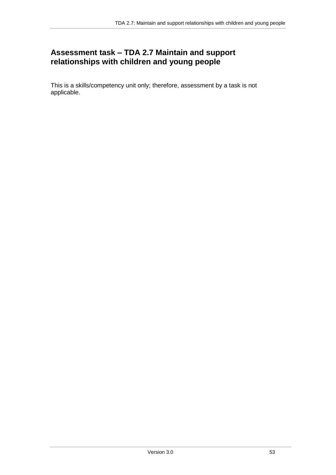## **Assessment task – TDA 2.7 Maintain and support relationships with children and young people**

This is a skills/competency unit only; therefore, assessment by a task is not applicable.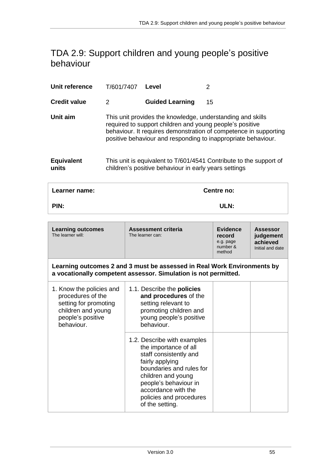## <span id="page-54-0"></span>TDA 2.9: Support children and young people's positive behaviour

| T/601/7407 | Level                  | 2                                                                                                                                                                                                                                                                                                                                                                                          |
|------------|------------------------|--------------------------------------------------------------------------------------------------------------------------------------------------------------------------------------------------------------------------------------------------------------------------------------------------------------------------------------------------------------------------------------------|
| 2          | <b>Guided Learning</b> | 15                                                                                                                                                                                                                                                                                                                                                                                         |
|            |                        |                                                                                                                                                                                                                                                                                                                                                                                            |
|            |                        |                                                                                                                                                                                                                                                                                                                                                                                            |
|            |                        | This unit provides the knowledge, understanding and skills<br>required to support children and young people's positive<br>behaviour. It requires demonstration of competence in supporting<br>positive behaviour and responding to inappropriate behaviour.<br>This unit is equivalent to T/601/4541 Contribute to the support of<br>children's positive behaviour in early years settings |

| Learner name: | Centre no: |
|---------------|------------|
| PIN:          | ULN:       |

| <b>Learning outcomes</b><br>The learner will:                                                                                   | <b>Assessment criteria</b><br>The learner can:                                                                                                                                                                                                    | <b>Evidence</b><br>record<br>e.g. page<br>number &<br>method | <b>Assessor</b><br>judgement<br>achieved<br>Initial and date |
|---------------------------------------------------------------------------------------------------------------------------------|---------------------------------------------------------------------------------------------------------------------------------------------------------------------------------------------------------------------------------------------------|--------------------------------------------------------------|--------------------------------------------------------------|
|                                                                                                                                 | Learning outcomes 2 and 3 must be assessed in Real Work Environments by<br>a vocationally competent assessor. Simulation is not permitted.                                                                                                        |                                                              |                                                              |
| 1. Know the policies and<br>procedures of the<br>setting for promoting<br>children and young<br>people's positive<br>behaviour. | 1.1. Describe the <b>policies</b><br>and procedures of the<br>setting relevant to<br>promoting children and<br>young people's positive<br>behaviour.                                                                                              |                                                              |                                                              |
|                                                                                                                                 | 1.2. Describe with examples<br>the importance of all<br>staff consistently and<br>fairly applying<br>boundaries and rules for<br>children and young<br>people's behaviour in<br>accordance with the<br>policies and procedures<br>of the setting. |                                                              |                                                              |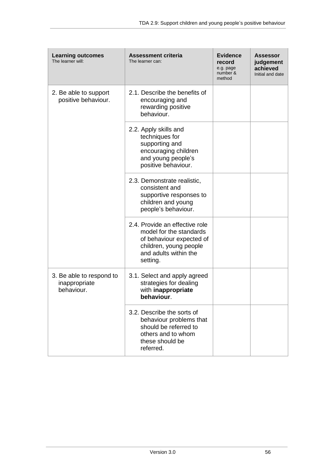| <b>Learning outcomes</b><br>The learner will:           | <b>Assessment criteria</b><br>The learner can:                                                                                                       | <b>Evidence</b><br>record<br>e.g. page<br>number &<br>method | <b>Assessor</b><br>judgement<br>achieved<br>Initial and date |
|---------------------------------------------------------|------------------------------------------------------------------------------------------------------------------------------------------------------|--------------------------------------------------------------|--------------------------------------------------------------|
| 2. Be able to support<br>positive behaviour.            | 2.1. Describe the benefits of<br>encouraging and<br>rewarding positive<br>behaviour.                                                                 |                                                              |                                                              |
|                                                         | 2.2. Apply skills and<br>techniques for<br>supporting and<br>encouraging children<br>and young people's<br>positive behaviour.                       |                                                              |                                                              |
|                                                         | 2.3. Demonstrate realistic,<br>consistent and<br>supportive responses to<br>children and young<br>people's behaviour.                                |                                                              |                                                              |
|                                                         | 2.4. Provide an effective role<br>model for the standards<br>of behaviour expected of<br>children, young people<br>and adults within the<br>setting. |                                                              |                                                              |
| 3. Be able to respond to<br>inappropriate<br>behaviour. | 3.1. Select and apply agreed<br>strategies for dealing<br>with inappropriate<br>behaviour.                                                           |                                                              |                                                              |
|                                                         | 3.2. Describe the sorts of<br>behaviour problems that<br>should be referred to<br>others and to whom<br>these should be<br>referred.                 |                                                              |                                                              |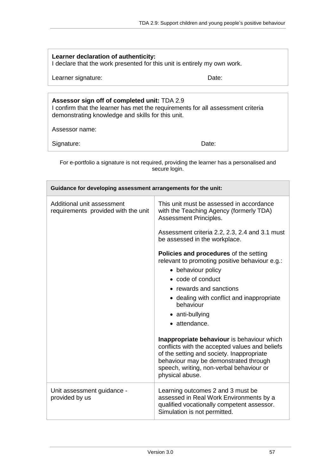| Learner declaration of authenticity:<br>I declare that the work presented for this unit is entirely my own work.                                                                     |                                                                                                                                                                                                                                                   |  |
|--------------------------------------------------------------------------------------------------------------------------------------------------------------------------------------|---------------------------------------------------------------------------------------------------------------------------------------------------------------------------------------------------------------------------------------------------|--|
| Learner signature:                                                                                                                                                                   | Date:                                                                                                                                                                                                                                             |  |
| Assessor sign off of completed unit: TDA 2.9<br>I confirm that the learner has met the requirements for all assessment criteria<br>demonstrating knowledge and skills for this unit. |                                                                                                                                                                                                                                                   |  |
| Assessor name:                                                                                                                                                                       |                                                                                                                                                                                                                                                   |  |
| Signature:                                                                                                                                                                           | Date:                                                                                                                                                                                                                                             |  |
| For e-portfolio a signature is not required, providing the learner has a personalised and<br>secure login.                                                                           |                                                                                                                                                                                                                                                   |  |
| Guidance for developing assessment arrangements for the unit:                                                                                                                        |                                                                                                                                                                                                                                                   |  |
| Additional unit assessment<br>requirements provided with the unit                                                                                                                    | This unit must be assessed in accordance<br>with the Teaching Agency (formerly TDA)<br>Assessment Principles.                                                                                                                                     |  |
|                                                                                                                                                                                      | Assessment criteria 2.2, 2.3, 2.4 and 3.1 must<br>be assessed in the workplace.                                                                                                                                                                   |  |
|                                                                                                                                                                                      | Policies and procedures of the setting<br>relevant to promoting positive behaviour e.g.:<br>• behaviour policy                                                                                                                                    |  |
|                                                                                                                                                                                      | • code of conduct                                                                                                                                                                                                                                 |  |
|                                                                                                                                                                                      | • rewards and sanctions                                                                                                                                                                                                                           |  |
|                                                                                                                                                                                      | • dealing with conflict and inappropriate<br>behaviour                                                                                                                                                                                            |  |
|                                                                                                                                                                                      | • anti-bullying                                                                                                                                                                                                                                   |  |
|                                                                                                                                                                                      | • attendance.                                                                                                                                                                                                                                     |  |
|                                                                                                                                                                                      | Inappropriate behaviour is behaviour which<br>conflicts with the accepted values and beliefs<br>of the setting and society. Inappropriate<br>behaviour may be demonstrated through<br>speech, writing, non-verbal behaviour or<br>physical abuse. |  |
| Unit assessment guidance -<br>provided by us                                                                                                                                         | Learning outcomes 2 and 3 must be<br>assessed in Real Work Environments by a<br>qualified vocationally competent assessor.<br>Simulation is not permitted.                                                                                        |  |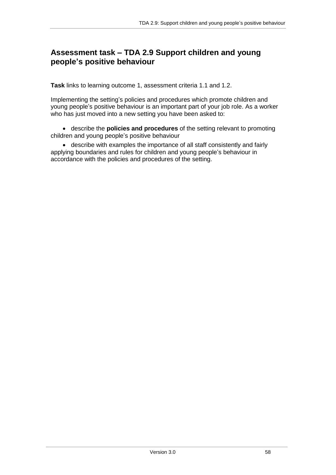## **Assessment task – TDA 2.9 Support children and young people's positive behaviour**

**Task** links to learning outcome 1, assessment criteria 1.1 and 1.2.

Implementing the setting's policies and procedures which promote children and young people's positive behaviour is an important part of your job role. As a worker who has just moved into a new setting you have been asked to:

 describe the **policies and procedures** of the setting relevant to promoting children and young people's positive behaviour

 describe with examples the importance of all staff consistently and fairly applying boundaries and rules for children and young people's behaviour in accordance with the policies and procedures of the setting.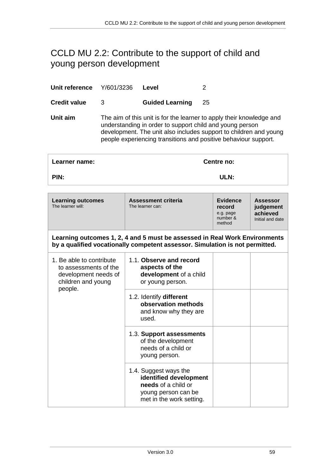# <span id="page-58-0"></span>CCLD MU 2.2: Contribute to the support of child and young person development

| Aarner name:        |                                                                                                                                                                                                                                                                          |                        | Centre no: |
|---------------------|--------------------------------------------------------------------------------------------------------------------------------------------------------------------------------------------------------------------------------------------------------------------------|------------------------|------------|
| Unit aim            | The aim of this unit is for the learner to apply their knowledge and<br>understanding in order to support child and young person<br>development. The unit also includes support to children and young<br>people experiencing transitions and positive behaviour support. |                        |            |
| <b>Credit value</b> | З                                                                                                                                                                                                                                                                        | <b>Guided Learning</b> | 25         |
| Unit reference      | Y/601/3236                                                                                                                                                                                                                                                               | Level                  |            |

| Leaniel Hallie.                                                                                            | venue nv.                                                                                                                                                  |                                                              |                                                              |
|------------------------------------------------------------------------------------------------------------|------------------------------------------------------------------------------------------------------------------------------------------------------------|--------------------------------------------------------------|--------------------------------------------------------------|
| PIN:                                                                                                       | ULN:                                                                                                                                                       |                                                              |                                                              |
| <b>Learning outcomes</b><br>The learner will:                                                              | Assessment criteria<br>The learner can:                                                                                                                    | <b>Evidence</b><br>record<br>e.g. page<br>number &<br>method | <b>Assessor</b><br>judgement<br>achieved<br>Initial and date |
|                                                                                                            | Learning outcomes 1, 2, 4 and 5 must be assessed in Real Work Environments<br>by a qualified vocationally competent assessor. Simulation is not permitted. |                                                              |                                                              |
| 1. Be able to contribute<br>to assessments of the<br>development needs of<br>children and young<br>people. | 1.1. Observe and record<br>aspects of the<br>development of a child<br>or young person.                                                                    |                                                              |                                                              |
|                                                                                                            | 1.2. Identify different<br>observation methods<br>and know why they are<br>used.                                                                           |                                                              |                                                              |
|                                                                                                            | 1.3. Support assessments<br>of the development<br>needs of a child or<br>young person.                                                                     |                                                              |                                                              |
|                                                                                                            | 1.4. Suggest ways the<br>identified development<br>needs of a child or<br>young person can be<br>met in the work setting.                                  |                                                              |                                                              |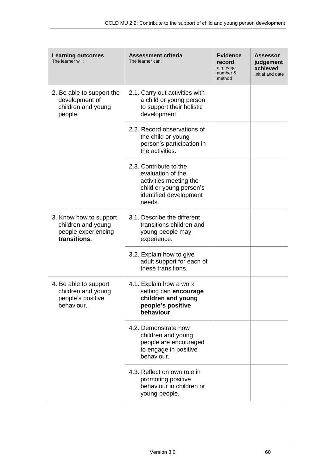| <b>Learning outcomes</b><br>The learner will:                                       | <b>Assessment criteria</b><br>The learner can:                                                                                       | <b>Evidence</b><br>record<br>e.g. page<br>number &<br>method | <b>Assessor</b><br>judgement<br>achieved<br>Initial and date |
|-------------------------------------------------------------------------------------|--------------------------------------------------------------------------------------------------------------------------------------|--------------------------------------------------------------|--------------------------------------------------------------|
| 2. Be able to support the<br>development of<br>children and young<br>people.        | 2.1. Carry out activities with<br>a child or young person<br>to support their holistic<br>development.                               |                                                              |                                                              |
|                                                                                     | 2.2. Record observations of<br>the child or young<br>person's participation in<br>the activities.                                    |                                                              |                                                              |
|                                                                                     | 2.3. Contribute to the<br>evaluation of the<br>activities meeting the<br>child or young person's<br>identified development<br>needs. |                                                              |                                                              |
| 3. Know how to support<br>children and young<br>people experiencing<br>transitions. | 3.1. Describe the different<br>transitions children and<br>young people may<br>experience.                                           |                                                              |                                                              |
|                                                                                     | 3.2. Explain how to give<br>adult support for each of<br>these transitions.                                                          |                                                              |                                                              |
| 4. Be able to support<br>children and young<br>people's positive<br>behaviour.      | 4.1. Explain how a work<br>setting can encourage<br>children and young<br>people's positive<br>behaviour.                            |                                                              |                                                              |
|                                                                                     | 4.2. Demonstrate how<br>children and young<br>people are encouraged<br>to engage in positive<br>behaviour.                           |                                                              |                                                              |
|                                                                                     | 4.3. Reflect on own role in<br>promoting positive<br>behaviour in children or<br>young people.                                       |                                                              |                                                              |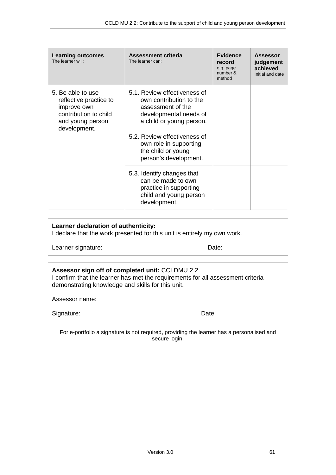| <b>Learning outcomes</b><br>The learner will:                                                                           | <b>Assessment criteria</b><br>The learner can:                                                                                     | <b>Evidence</b><br>record<br>e.g. page<br>number &<br>method | <b>Assessor</b><br>judgement<br>achieved<br>Initial and date |
|-------------------------------------------------------------------------------------------------------------------------|------------------------------------------------------------------------------------------------------------------------------------|--------------------------------------------------------------|--------------------------------------------------------------|
| 5. Be able to use<br>reflective practice to<br>improve own<br>contribution to child<br>and young person<br>development. | 5.1. Review effectiveness of<br>own contribution to the<br>assessment of the<br>developmental needs of<br>a child or young person. |                                                              |                                                              |
|                                                                                                                         | 5.2. Review effectiveness of<br>own role in supporting<br>the child or young<br>person's development.                              |                                                              |                                                              |
|                                                                                                                         | 5.3. Identify changes that<br>can be made to own<br>practice in supporting<br>child and young person<br>development.               |                                                              |                                                              |

#### **Learner declaration of authenticity:**

I declare that the work presented for this unit is entirely my own work.

Learner signature: Date:

#### **Assessor sign off of completed unit:** CCLDMU 2.2 I confirm that the learner has met the requirements for all assessment criteria demonstrating knowledge and skills for this unit.

Assessor name:

Signature: Date: Date: Date: Date: Date: Date: Date: Date: Date: Date: Date: Date: Date: Date: Date: Date: Date: Date: Date: Date:  $\sim$  Date: Date: Date: Date: Date: Date: Date: Date: Date: Date: Date: Date: Date: Date: Da

For e-portfolio a signature is not required, providing the learner has a personalised and secure login.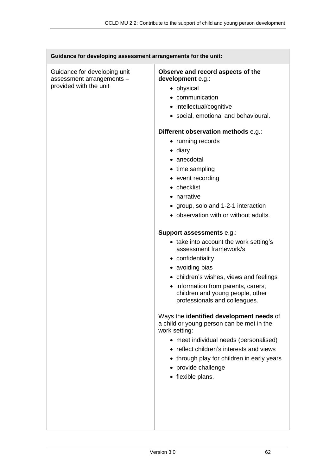| Guidance for developing assessment arrangements for the unit:                       |                                                                                                                                                                                                                                                                                                                                                                                                                                                                                                                                                                                                                                                                                                                                                                                                                                                                                                                                                                                                           |
|-------------------------------------------------------------------------------------|-----------------------------------------------------------------------------------------------------------------------------------------------------------------------------------------------------------------------------------------------------------------------------------------------------------------------------------------------------------------------------------------------------------------------------------------------------------------------------------------------------------------------------------------------------------------------------------------------------------------------------------------------------------------------------------------------------------------------------------------------------------------------------------------------------------------------------------------------------------------------------------------------------------------------------------------------------------------------------------------------------------|
| Guidance for developing unit<br>assessment arrangements -<br>provided with the unit | Observe and record aspects of the<br>development e.g.:<br>• physical<br>• communication<br>• intellectual/cognitive<br>• social, emotional and behavioural.<br>Different observation methods e.g.:<br>• running records<br>$\bullet$ diary<br>• anecdotal<br>• time sampling<br>• event recording<br>• checklist<br>• narrative<br>• group, solo and 1-2-1 interaction<br>• observation with or without adults.<br>Support assessments e.g.:<br>• take into account the work setting's<br>assessment framework/s<br>• confidentiality<br>• avoiding bias<br>• children's wishes, views and feelings<br>• information from parents, carers,<br>children and young people, other<br>professionals and colleagues.<br>Ways the identified development needs of<br>a child or young person can be met in the<br>work setting:<br>• meet individual needs (personalised)<br>• reflect children's interests and views<br>• through play for children in early years<br>• provide challenge<br>• flexible plans. |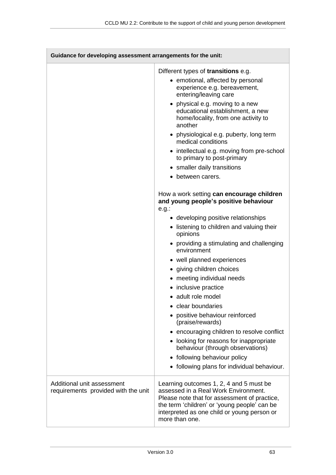$\Box$ 

| Guidance for developing assessment arrangements for the unit:     |                                                                                                                                                                                                                                                                                                                                                                                                                                                                                                                                                                                                                                                                                        |
|-------------------------------------------------------------------|----------------------------------------------------------------------------------------------------------------------------------------------------------------------------------------------------------------------------------------------------------------------------------------------------------------------------------------------------------------------------------------------------------------------------------------------------------------------------------------------------------------------------------------------------------------------------------------------------------------------------------------------------------------------------------------|
|                                                                   | Different types of transitions e.g.<br>• emotional, affected by personal<br>experience e.g. bereavement,<br>entering/leaving care<br>• physical e.g. moving to a new<br>educational establishment, a new<br>home/locality, from one activity to<br>another<br>• physiological e.g. puberty, long term<br>medical conditions<br>• intellectual e.g. moving from pre-school<br>to primary to post-primary<br>• smaller daily transitions<br>• between carers.                                                                                                                                                                                                                            |
|                                                                   | How a work setting can encourage children<br>and young people's positive behaviour<br>$e.g.$ :<br>• developing positive relationships<br>• listening to children and valuing their<br>opinions<br>• providing a stimulating and challenging<br>environment<br>• well planned experiences<br>• giving children choices<br>• meeting individual needs<br>• inclusive practice<br>• adult role model<br>clear boundaries<br>positive behaviour reinforced<br>(praise/rewards)<br>• encouraging children to resolve conflict<br>• looking for reasons for inappropriate<br>behaviour (through observations)<br>• following behaviour policy<br>• following plans for individual behaviour. |
| Additional unit assessment<br>requirements provided with the unit | Learning outcomes 1, 2, 4 and 5 must be<br>assessed in a Real Work Environment.<br>Please note that for assessment of practice,<br>the term 'children' or 'young people' can be<br>interpreted as one child or young person or<br>more than one.                                                                                                                                                                                                                                                                                                                                                                                                                                       |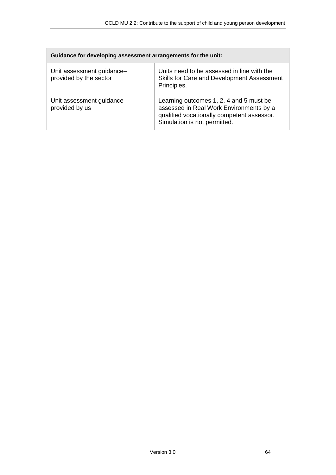| Guidance for developing assessment arrangements for the unit: |                                                                                                                                                                  |
|---------------------------------------------------------------|------------------------------------------------------------------------------------------------------------------------------------------------------------------|
| Unit assessment guidance-<br>provided by the sector           | Units need to be assessed in line with the<br>Skills for Care and Development Assessment<br>Principles.                                                          |
| Unit assessment guidance -<br>provided by us                  | Learning outcomes 1, 2, 4 and 5 must be<br>assessed in Real Work Environments by a<br>qualified vocationally competent assessor.<br>Simulation is not permitted. |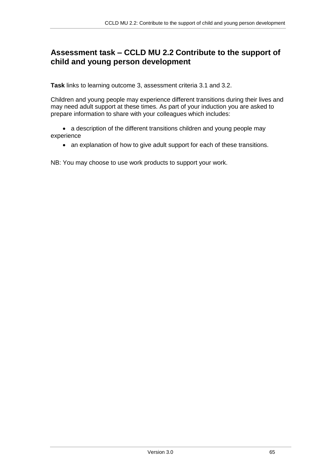## **Assessment task – CCLD MU 2.2 Contribute to the support of child and young person development**

**Task** links to learning outcome 3, assessment criteria 3.1 and 3.2.

Children and young people may experience different transitions during their lives and may need adult support at these times. As part of your induction you are asked to prepare information to share with your colleagues which includes:

• a description of the different transitions children and young people may experience

• an explanation of how to give adult support for each of these transitions.

NB: You may choose to use work products to support your work.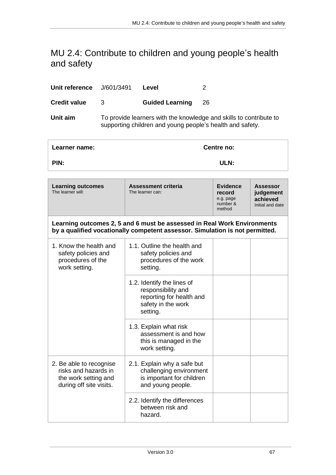## <span id="page-66-0"></span>MU 2.4: Contribute to children and young people's health and safety

| Unit reference      | J/601/3491                                                                                                                      | Level                  |     |
|---------------------|---------------------------------------------------------------------------------------------------------------------------------|------------------------|-----|
| <b>Credit value</b> | 3                                                                                                                               | <b>Guided Learning</b> | -26 |
| Unit aim            | To provide learners with the knowledge and skills to contribute to<br>supporting children and young people's health and safety. |                        |     |

| Learner name:                                                                                                                                           |                                         | Centre no:                                                   |                                                              |  |
|---------------------------------------------------------------------------------------------------------------------------------------------------------|-----------------------------------------|--------------------------------------------------------------|--------------------------------------------------------------|--|
| PIN:                                                                                                                                                    |                                         | ULN:                                                         |                                                              |  |
|                                                                                                                                                         |                                         |                                                              |                                                              |  |
| <b>Learning outcomes</b><br>The learner will:                                                                                                           | Assessment criteria<br>The learner can: | <b>Evidence</b><br>record<br>e.g. page<br>number &<br>method | <b>Assessor</b><br>judgement<br>achieved<br>Initial and date |  |
| Learning outcomes 2, 5 and 6 must be assessed in Real Work Environments<br>by a qualified vocationally competent assessor. Simulation is not permitted. |                                         |                                                              |                                                              |  |

| 1. Know the health and<br>safety policies and<br>procedures of the<br>work setting.                | 1.1. Outline the health and<br>safety policies and<br>procedures of the work<br>setting.                       |  |
|----------------------------------------------------------------------------------------------------|----------------------------------------------------------------------------------------------------------------|--|
|                                                                                                    | 1.2. Identify the lines of<br>responsibility and<br>reporting for health and<br>safety in the work<br>setting. |  |
|                                                                                                    | 1.3. Explain what risk<br>assessment is and how<br>this is managed in the<br>work setting.                     |  |
| 2. Be able to recognise<br>risks and hazards in<br>the work setting and<br>during off site visits. | 2.1. Explain why a safe but<br>challenging environment<br>is important for children<br>and young people.       |  |
|                                                                                                    | 2.2. Identify the differences<br>between risk and<br>hazard.                                                   |  |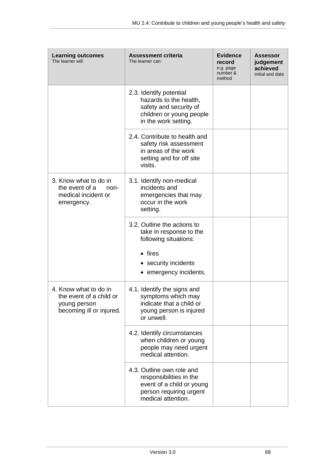| <b>Learning outcomes</b><br>The learner will:                                                | <b>Assessment criteria</b><br>The learner can:                                                                                     | <b>Evidence</b><br>record<br>e.g. page<br>number &<br>method | <b>Assessor</b><br>judgement<br>achieved<br>Initial and date |
|----------------------------------------------------------------------------------------------|------------------------------------------------------------------------------------------------------------------------------------|--------------------------------------------------------------|--------------------------------------------------------------|
|                                                                                              | 2.3. Identify potential<br>hazards to the health,<br>safety and security of<br>children or young people<br>in the work setting.    |                                                              |                                                              |
|                                                                                              | 2.4. Contribute to health and<br>safety risk assessment<br>in areas of the work<br>setting and for off site<br>visits.             |                                                              |                                                              |
| 3. Know what to do in<br>the event of a<br>non-<br>medical incident or<br>emergency.         | 3.1. Identify non-medical<br>incidents and<br>emergencies that may<br>occur in the work<br>setting.                                |                                                              |                                                              |
|                                                                                              | 3.2. Outline the actions to<br>take in response to the<br>following situations:                                                    |                                                              |                                                              |
|                                                                                              | $\bullet$ fires<br>• security incidents<br>• emergency incidents.                                                                  |                                                              |                                                              |
| 4. Know what to do in<br>the event of a child or<br>young person<br>becoming ill or injured. | 4.1. Identify the signs and<br>symptoms which may<br>indicate that a child or<br>young person is injured<br>or unwell.             |                                                              |                                                              |
|                                                                                              | 4.2. Identify circumstances<br>when children or young<br>people may need urgent<br>medical attention.                              |                                                              |                                                              |
|                                                                                              | 4.3. Outline own role and<br>responsibilities in the<br>event of a child or young<br>person requiring urgent<br>medical attention. |                                                              |                                                              |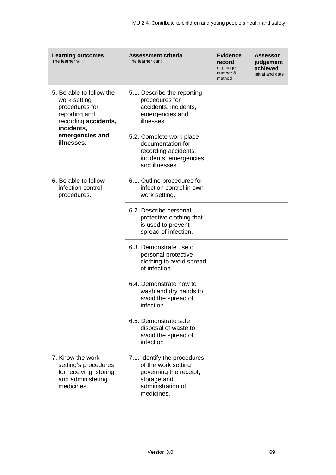| <b>Learning outcomes</b><br>The learner will:                                                                     | <b>Assessment criteria</b><br>The learner can:                                                                                  | <b>Evidence</b><br>record<br>e.g. page<br>number &<br>method | Assessor<br>judgement<br>achieved<br>Initial and date |
|-------------------------------------------------------------------------------------------------------------------|---------------------------------------------------------------------------------------------------------------------------------|--------------------------------------------------------------|-------------------------------------------------------|
| 5. Be able to follow the<br>work setting<br>procedures for<br>reporting and<br>recording accidents,<br>incidents, | 5.1. Describe the reporting<br>procedures for<br>accidents, incidents,<br>emergencies and<br>illnesses.                         |                                                              |                                                       |
| emergencies and<br>illnesses.                                                                                     | 5.2. Complete work place<br>documentation for<br>recording accidents,<br>incidents, emergencies<br>and illnesses.               |                                                              |                                                       |
| 6. Be able to follow<br>infection control<br>procedures.                                                          | 6.1. Outline procedures for<br>infection control in own<br>work setting.                                                        |                                                              |                                                       |
|                                                                                                                   | 6.2. Describe personal<br>protective clothing that<br>is used to prevent<br>spread of infection.                                |                                                              |                                                       |
|                                                                                                                   | 6.3. Demonstrate use of<br>personal protective<br>clothing to avoid spread<br>of infection.                                     |                                                              |                                                       |
|                                                                                                                   | 6.4. Demonstrate how to<br>wash and dry hands to<br>avoid the spread of<br>infection.                                           |                                                              |                                                       |
|                                                                                                                   | 6.5. Demonstrate safe<br>disposal of waste to<br>avoid the spread of<br>infection.                                              |                                                              |                                                       |
| 7. Know the work<br>setting's procedures<br>for receiving, storing<br>and administering<br>medicines.             | 7.1. Identify the procedures<br>of the work setting<br>governing the receipt,<br>storage and<br>administration of<br>medicines. |                                                              |                                                       |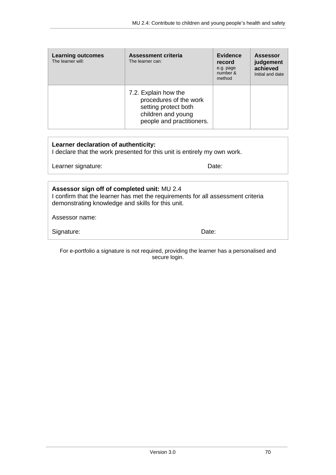| <b>Learning outcomes</b><br>The learner will: | Assessment criteria<br>The learner can:                                                                                   | <b>Evidence</b><br>record<br>e.g. page<br>number &<br>method | <b>Assessor</b><br>judgement<br>achieved<br>Initial and date |
|-----------------------------------------------|---------------------------------------------------------------------------------------------------------------------------|--------------------------------------------------------------|--------------------------------------------------------------|
|                                               | 7.2. Explain how the<br>procedures of the work<br>setting protect both<br>children and young<br>people and practitioners. |                                                              |                                                              |

| Learner declaration of authenticity: |  |
|--------------------------------------|--|
|--------------------------------------|--|

I declare that the work presented for this unit is entirely my own work.

Signature: Date: Date:

Learner signature: Date:

| Assessor sign off of completed unit: MU 2.4<br>I confirm that the learner has met the requirements for all assessment criteria<br>demonstrating knowledge and skills for this unit. |  |
|-------------------------------------------------------------------------------------------------------------------------------------------------------------------------------------|--|
| Assessor name:                                                                                                                                                                      |  |

For e-portfolio a signature is not required, providing the learner has a personalised and secure login.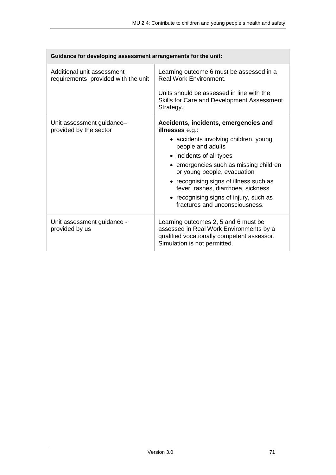| Guidance for developing assessment arrangements for the unit:     |                                                                                                                                                               |  |
|-------------------------------------------------------------------|---------------------------------------------------------------------------------------------------------------------------------------------------------------|--|
| Additional unit assessment<br>requirements provided with the unit | Learning outcome 6 must be assessed in a<br><b>Real Work Environment.</b>                                                                                     |  |
|                                                                   | Units should be assessed in line with the<br>Skills for Care and Development Assessment<br>Strategy.                                                          |  |
| Unit assessment guidance-<br>provided by the sector               | Accidents, incidents, emergencies and<br>illnesses e.g.:                                                                                                      |  |
|                                                                   | • accidents involving children, young<br>people and adults                                                                                                    |  |
|                                                                   | • incidents of all types                                                                                                                                      |  |
|                                                                   | • emergencies such as missing children<br>or young people, evacuation                                                                                         |  |
|                                                                   | • recognising signs of illness such as<br>fever, rashes, diarrhoea, sickness                                                                                  |  |
|                                                                   | • recognising signs of injury, such as<br>fractures and unconsciousness.                                                                                      |  |
| Unit assessment guidance -<br>provided by us                      | Learning outcomes 2, 5 and 6 must be<br>assessed in Real Work Environments by a<br>qualified vocationally competent assessor.<br>Simulation is not permitted. |  |

 $\overline{a}$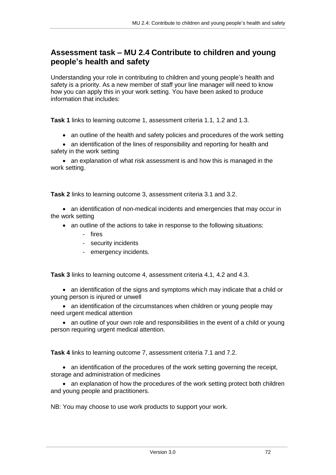## **Assessment task – MU 2.4 Contribute to children and young people's health and safety**

Understanding your role in contributing to children and young people's health and safety is a priority. As a new member of staff your line manager will need to know how you can apply this in your work setting. You have been asked to produce information that includes:

**Task 1** links to learning outcome 1, assessment criteria 1.1, 1.2 and 1.3.

an outline of the health and safety policies and procedures of the work setting

 an identification of the lines of responsibility and reporting for health and safety in the work setting

• an explanation of what risk assessment is and how this is managed in the work setting.

**Task 2** links to learning outcome 3, assessment criteria 3.1 and 3.2.

 an identification of non-medical incidents and emergencies that may occur in the work setting

- an outline of the actions to take in response to the following situations:
	- fires
	- security incidents
	- emergency incidents.

**Task 3** links to learning outcome 4, assessment criteria 4.1, 4.2 and 4.3.

 an identification of the signs and symptoms which may indicate that a child or young person is injured or unwell

• an identification of the circumstances when children or young people may need urgent medical attention

• an outline of your own role and responsibilities in the event of a child or young person requiring urgent medical attention.

**Task 4** links to learning outcome 7, assessment criteria 7.1 and 7.2.

• an identification of the procedures of the work setting governing the receipt, storage and administration of medicines

• an explanation of how the procedures of the work setting protect both children and young people and practitioners.

NB: You may choose to use work products to support your work.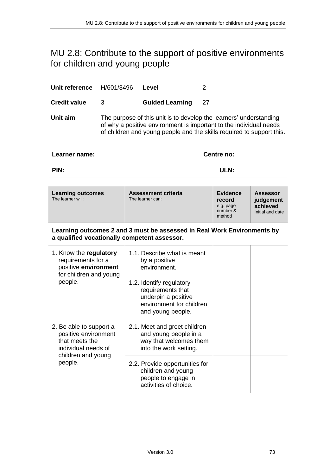# <span id="page-72-0"></span>MU 2.8: Contribute to the support of positive environments for children and young people

| Unit reference      | H/601/3496 | Level                  |                                                                                                                                                                                                                   |
|---------------------|------------|------------------------|-------------------------------------------------------------------------------------------------------------------------------------------------------------------------------------------------------------------|
| <b>Credit value</b> | 3          | <b>Guided Learning</b> | 27                                                                                                                                                                                                                |
| Unit aim            |            |                        | The purpose of this unit is to develop the learners' understanding<br>of why a positive environment is important to the individual needs<br>of children and young people and the skills required to support this. |
|                     |            |                        |                                                                                                                                                                                                                   |

| Learner name: | Centre no: |
|---------------|------------|
| PIN:          | ULN:       |
|               |            |

| <b>Learning outcomes</b><br>The learner will:                                                                             | <b>Assessment criteria</b><br>The learner can:                                                                        | <b>Evidence</b><br>record<br>e.g. page<br>number &<br>method | <b>Assessor</b><br>judgement<br>achieved<br>Initial and date |
|---------------------------------------------------------------------------------------------------------------------------|-----------------------------------------------------------------------------------------------------------------------|--------------------------------------------------------------|--------------------------------------------------------------|
| a qualified vocationally competent assessor.                                                                              | Learning outcomes 2 and 3 must be assessed in Real Work Environments by                                               |                                                              |                                                              |
| 1. Know the regulatory<br>requirements for a<br>positive environment<br>for children and young<br>people.                 | 1.1. Describe what is meant<br>by a positive<br>environment.                                                          |                                                              |                                                              |
|                                                                                                                           | 1.2. Identify regulatory<br>requirements that<br>underpin a positive<br>environment for children<br>and young people. |                                                              |                                                              |
| 2. Be able to support a<br>positive environment<br>that meets the<br>individual needs of<br>children and young<br>people. | 2.1. Meet and greet children<br>and young people in a<br>way that welcomes them<br>into the work setting.             |                                                              |                                                              |
|                                                                                                                           | 2.2. Provide opportunities for<br>children and young<br>people to engage in<br>activities of choice.                  |                                                              |                                                              |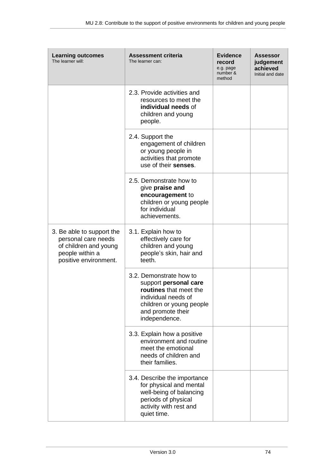| <b>Learning outcomes</b><br>The learner will:                                                                         | <b>Assessment criteria</b><br>The learner can:                                                                                                                      | <b>Evidence</b><br>record<br>e.g. page<br>number &<br>method | <b>Assessor</b><br>judgement<br>achieved<br>Initial and date |
|-----------------------------------------------------------------------------------------------------------------------|---------------------------------------------------------------------------------------------------------------------------------------------------------------------|--------------------------------------------------------------|--------------------------------------------------------------|
|                                                                                                                       | 2.3. Provide activities and<br>resources to meet the<br>individual needs of<br>children and young<br>people.                                                        |                                                              |                                                              |
|                                                                                                                       | 2.4. Support the<br>engagement of children<br>or young people in<br>activities that promote<br>use of their senses.                                                 |                                                              |                                                              |
|                                                                                                                       | 2.5. Demonstrate how to<br>give praise and<br>encouragement to<br>children or young people<br>for individual<br>achievements.                                       |                                                              |                                                              |
| 3. Be able to support the<br>personal care needs<br>of children and young<br>people within a<br>positive environment. | 3.1. Explain how to<br>effectively care for<br>children and young<br>people's skin, hair and<br>teeth.                                                              |                                                              |                                                              |
|                                                                                                                       | 3.2. Demonstrate how to<br>support personal care<br>routines that meet the<br>individual needs of<br>children or young people<br>and promote their<br>independence. |                                                              |                                                              |
|                                                                                                                       | 3.3. Explain how a positive<br>environment and routine<br>meet the emotional<br>needs of children and<br>their families.                                            |                                                              |                                                              |
|                                                                                                                       | 3.4. Describe the importance<br>for physical and mental<br>well-being of balancing<br>periods of physical<br>activity with rest and<br>quiet time.                  |                                                              |                                                              |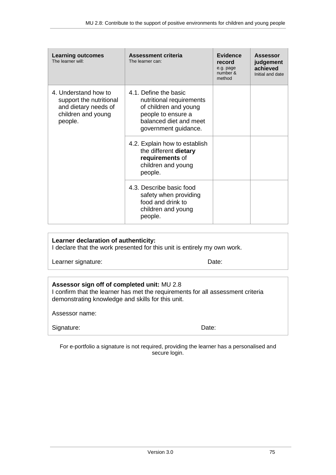| <b>Learning outcomes</b><br>The learner will:                                                            | <b>Assessment criteria</b><br>The learner can:                                                                                                     | <b>Evidence</b><br>record<br>e.g. page<br>number &<br>method | Assessor<br>judgement<br>achieved<br>Initial and date |
|----------------------------------------------------------------------------------------------------------|----------------------------------------------------------------------------------------------------------------------------------------------------|--------------------------------------------------------------|-------------------------------------------------------|
| 4. Understand how to<br>support the nutritional<br>and dietary needs of<br>children and young<br>people. | 4.1. Define the basic<br>nutritional requirements<br>of children and young<br>people to ensure a<br>balanced diet and meet<br>government guidance. |                                                              |                                                       |
|                                                                                                          | 4.2. Explain how to establish<br>the different dietary<br>requirements of<br>children and young<br>people.                                         |                                                              |                                                       |
|                                                                                                          | 4.3. Describe basic food<br>safety when providing<br>food and drink to<br>children and young<br>people.                                            |                                                              |                                                       |

#### **Learner declaration of authenticity:**

I declare that the work presented for this unit is entirely my own work.

Learner signature: Date:

#### **Assessor sign off of completed unit:** MU 2.8

I confirm that the learner has met the requirements for all assessment criteria demonstrating knowledge and skills for this unit.

Assessor name:

| Signature: | Date: |
|------------|-------|
|------------|-------|

For e-portfolio a signature is not required, providing the learner has a personalised and secure login.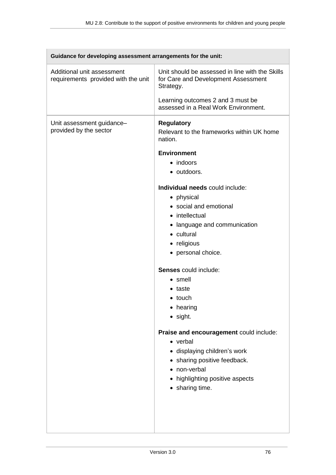| Guidance for developing assessment arrangements for the unit:     |                                                                                                     |  |
|-------------------------------------------------------------------|-----------------------------------------------------------------------------------------------------|--|
| Additional unit assessment<br>requirements provided with the unit | Unit should be assessed in line with the Skills<br>for Care and Development Assessment<br>Strategy. |  |
|                                                                   | Learning outcomes 2 and 3 must be<br>assessed in a Real Work Environment.                           |  |
| Unit assessment guidance-<br>provided by the sector               | <b>Regulatory</b><br>Relevant to the frameworks within UK home<br>nation.                           |  |
|                                                                   | <b>Environment</b>                                                                                  |  |
|                                                                   | • indoors                                                                                           |  |
|                                                                   | • outdoors.                                                                                         |  |
|                                                                   |                                                                                                     |  |
|                                                                   | Individual needs could include:                                                                     |  |
|                                                                   | • physical                                                                                          |  |
|                                                                   | • social and emotional                                                                              |  |
|                                                                   | • intellectual                                                                                      |  |
|                                                                   | • language and communication                                                                        |  |
|                                                                   | • cultural                                                                                          |  |
|                                                                   |                                                                                                     |  |
|                                                                   | • religious                                                                                         |  |
|                                                                   | • personal choice.                                                                                  |  |
|                                                                   | <b>Senses</b> could include:                                                                        |  |
|                                                                   | • smell                                                                                             |  |
|                                                                   | • taste                                                                                             |  |
|                                                                   | $\bullet$ touch                                                                                     |  |
|                                                                   | • hearing                                                                                           |  |
|                                                                   | $\bullet$ sight.                                                                                    |  |
|                                                                   | Praise and encouragement could include:                                                             |  |
|                                                                   | • verbal                                                                                            |  |
|                                                                   | · displaying children's work                                                                        |  |
|                                                                   | • sharing positive feedback.                                                                        |  |
|                                                                   | • non-verbal                                                                                        |  |
|                                                                   | • highlighting positive aspects                                                                     |  |
|                                                                   | • sharing time.                                                                                     |  |
|                                                                   |                                                                                                     |  |
|                                                                   |                                                                                                     |  |
|                                                                   |                                                                                                     |  |
|                                                                   |                                                                                                     |  |

 $\overline{\phantom{0}}$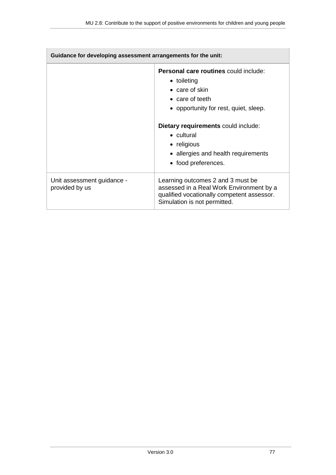| Guidance for developing assessment arrangements for the unit: |                                                                                                                                                                                                                        |  |  |
|---------------------------------------------------------------|------------------------------------------------------------------------------------------------------------------------------------------------------------------------------------------------------------------------|--|--|
|                                                               | Personal care routines could include:<br>• toileting<br>$\bullet$ care of skin<br>• care of teeth<br>• opportunity for rest, quiet, sleep.<br>Dietary requirements could include:<br>$\bullet$ cultural<br>• religious |  |  |
|                                                               | • allergies and health requirements<br>• food preferences.                                                                                                                                                             |  |  |
| Unit assessment guidance -<br>provided by us                  | Learning outcomes 2 and 3 must be<br>assessed in a Real Work Environment by a<br>qualified vocationally competent assessor.<br>Simulation is not permitted.                                                            |  |  |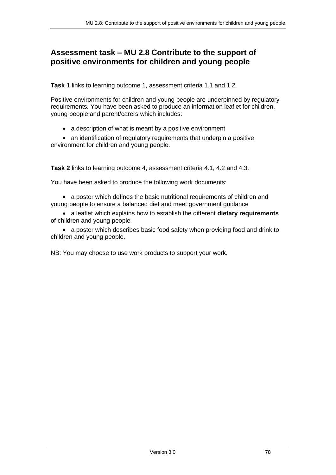## **Assessment task – MU 2.8 Contribute to the support of positive environments for children and young people**

**Task 1** links to learning outcome 1, assessment criteria 1.1 and 1.2.

Positive environments for children and young people are underpinned by regulatory requirements. You have been asked to produce an information leaflet for children, young people and parent/carers which includes:

• a description of what is meant by a positive environment

• an identification of regulatory requirements that underpin a positive environment for children and young people.

**Task 2** links to learning outcome 4, assessment criteria 4.1, 4.2 and 4.3.

You have been asked to produce the following work documents:

• a poster which defines the basic nutritional requirements of children and young people to ensure a balanced diet and meet government guidance

 a leaflet which explains how to establish the different **dietary requirements** of children and young people

 a poster which describes basic food safety when providing food and drink to children and young people.

NB: You may choose to use work products to support your work.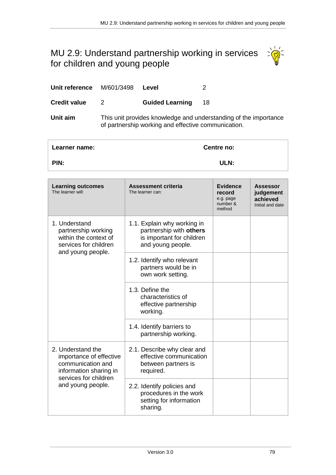# <span id="page-78-0"></span>MU 2.9: Understand partnership working in services for children and young people



| Unit reference M/601/3498 |                                                                                                                         | Level                  |    |
|---------------------------|-------------------------------------------------------------------------------------------------------------------------|------------------------|----|
| <b>Credit value</b>       | 2                                                                                                                       | <b>Guided Learning</b> | 18 |
| Unit aim                  | This unit provides knowledge and understanding of the importance<br>of partnership working and effective communication. |                        |    |

| Learner name: | <b>Centre no:</b> |
|---------------|-------------------|
| PIN:          | ULN:              |

| <b>Learning outcomes</b><br>The learner will:                                                                                             | <b>Assessment criteria</b><br>The learner can:                                                           | <b>Evidence</b><br>record<br>e.g. page<br>number &<br>method | <b>Assessor</b><br>judgement<br>achieved<br>Initial and date |
|-------------------------------------------------------------------------------------------------------------------------------------------|----------------------------------------------------------------------------------------------------------|--------------------------------------------------------------|--------------------------------------------------------------|
| 1. Understand<br>partnership working<br>within the context of<br>services for children<br>and young people.                               | 1.1. Explain why working in<br>partnership with others<br>is important for children<br>and young people. |                                                              |                                                              |
|                                                                                                                                           | 1.2. Identify who relevant<br>partners would be in<br>own work setting.                                  |                                                              |                                                              |
|                                                                                                                                           | 1.3. Define the<br>characteristics of<br>effective partnership<br>working.                               |                                                              |                                                              |
|                                                                                                                                           | 1.4. Identify barriers to<br>partnership working.                                                        |                                                              |                                                              |
| 2. Understand the<br>importance of effective<br>communication and<br>information sharing in<br>services for children<br>and young people. | 2.1. Describe why clear and<br>effective communication<br>between partners is<br>required.               |                                                              |                                                              |
|                                                                                                                                           | 2.2. Identify policies and<br>procedures in the work<br>setting for information<br>sharing.              |                                                              |                                                              |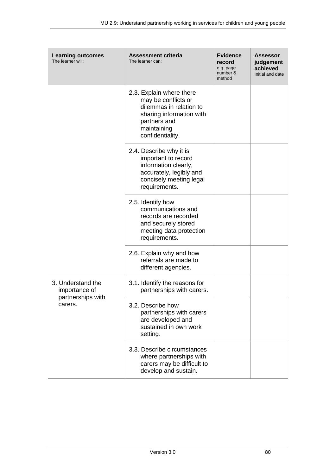| <b>Learning outcomes</b><br>The learner will:                      | <b>Assessment criteria</b><br>The learner can:                                                                                                            | <b>Evidence</b><br>record<br>e.g. page<br>number &<br>method | <b>Assessor</b><br>judgement<br>achieved<br>Initial and date |
|--------------------------------------------------------------------|-----------------------------------------------------------------------------------------------------------------------------------------------------------|--------------------------------------------------------------|--------------------------------------------------------------|
|                                                                    | 2.3. Explain where there<br>may be conflicts or<br>dilemmas in relation to<br>sharing information with<br>partners and<br>maintaining<br>confidentiality. |                                                              |                                                              |
|                                                                    | 2.4. Describe why it is<br>important to record<br>information clearly,<br>accurately, legibly and<br>concisely meeting legal<br>requirements.             |                                                              |                                                              |
|                                                                    | 2.5. Identify how<br>communications and<br>records are recorded<br>and securely stored<br>meeting data protection<br>requirements.                        |                                                              |                                                              |
|                                                                    | 2.6. Explain why and how<br>referrals are made to<br>different agencies.                                                                                  |                                                              |                                                              |
| 3. Understand the<br>importance of<br>partnerships with<br>carers. | 3.1. Identify the reasons for<br>partnerships with carers.                                                                                                |                                                              |                                                              |
|                                                                    | 3.2. Describe how<br>partnerships with carers<br>are developed and<br>sustained in own work<br>setting.                                                   |                                                              |                                                              |
|                                                                    | 3.3. Describe circumstances<br>where partnerships with<br>carers may be difficult to<br>develop and sustain.                                              |                                                              |                                                              |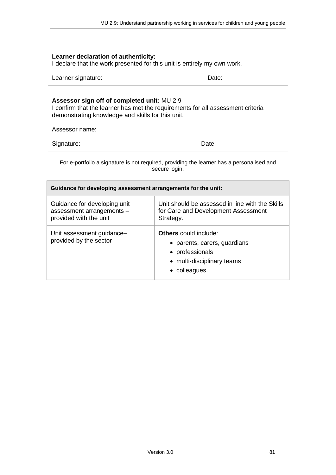| Learner declaration of authenticity:<br>I declare that the work presented for this unit is entirely my own work.                                                                    |                                                                                                     |  |  |  |
|-------------------------------------------------------------------------------------------------------------------------------------------------------------------------------------|-----------------------------------------------------------------------------------------------------|--|--|--|
| Learner signature:                                                                                                                                                                  | Date:                                                                                               |  |  |  |
|                                                                                                                                                                                     |                                                                                                     |  |  |  |
| Assessor sign off of completed unit: MU 2.9<br>I confirm that the learner has met the requirements for all assessment criteria<br>demonstrating knowledge and skills for this unit. |                                                                                                     |  |  |  |
| Assessor name:                                                                                                                                                                      |                                                                                                     |  |  |  |
| Signature:                                                                                                                                                                          | Date:                                                                                               |  |  |  |
| For e-portfolio a signature is not required, providing the learner has a personalised and<br>secure login.                                                                          |                                                                                                     |  |  |  |
| Guidance for developing assessment arrangements for the unit:                                                                                                                       |                                                                                                     |  |  |  |
| Guidance for developing unit<br>assessment arrangements -<br>provided with the unit                                                                                                 | Unit should be assessed in line with the Skills<br>for Care and Development Assessment<br>Strategy. |  |  |  |
| Unit assessment guidance-                                                                                                                                                           | <b>Others</b> could include:                                                                        |  |  |  |

provided by the sector

|  | • parents, carers, guardians |
|--|------------------------------|
|  |                              |

- professionals
- multi-disciplinary teams
- colleagues.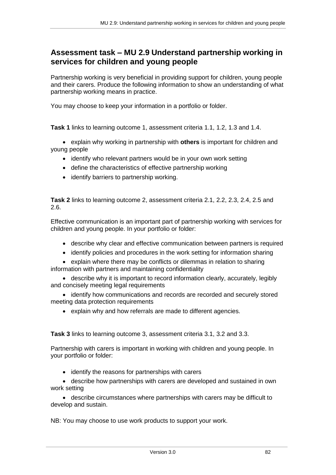## **Assessment task – MU 2.9 Understand partnership working in services for children and young people**

Partnership working is very beneficial in providing support for children, young people and their carers. Produce the following information to show an understanding of what partnership working means in practice.

You may choose to keep your information in a portfolio or folder.

**Task 1** links to learning outcome 1, assessment criteria 1.1, 1.2, 1.3 and 1.4.

 explain why working in partnership with **others** is important for children and young people

- identify who relevant partners would be in your own work setting
- define the characteristics of effective partnership working
- identify barriers to partnership working.

**Task 2** links to learning outcome 2, assessment criteria 2.1, 2.2, 2.3, 2.4, 2.5 and 2.6.

Effective communication is an important part of partnership working with services for children and young people. In your portfolio or folder:

- describe why clear and effective communication between partners is required
- identify policies and procedures in the work setting for information sharing
- explain where there may be conflicts or dilemmas in relation to sharing information with partners and maintaining confidentiality

• describe why it is important to record information clearly, accurately, legibly and concisely meeting legal requirements

• identify how communications and records are recorded and securely stored meeting data protection requirements

explain why and how referrals are made to different agencies.

**Task 3** links to learning outcome 3, assessment criteria 3.1, 3.2 and 3.3.

Partnership with carers is important in working with children and young people. In your portfolio or folder:

• identify the reasons for partnerships with carers

 describe how partnerships with carers are developed and sustained in own work setting

 describe circumstances where partnerships with carers may be difficult to develop and sustain.

NB: You may choose to use work products to support your work.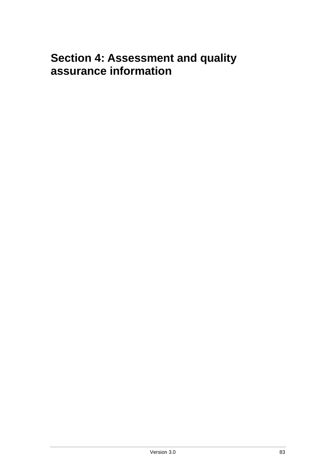# <span id="page-82-0"></span>**Section 4: Assessment and quality assurance information**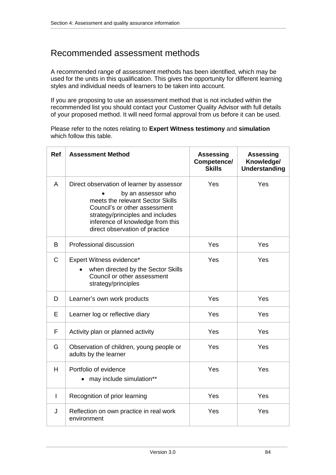## Recommended assessment methods

A recommended range of assessment methods has been identified, which may be used for the units in this qualification. This gives the opportunity for different learning styles and individual needs of learners to be taken into account.

If you are proposing to use an assessment method that is not included within the recommended list you should contact your Customer Quality Advisor with full details of your proposed method. It will need formal approval from us before it can be used.

Please refer to the notes relating to **Expert Witness testimony** and **simulation** which follow this table.

| <b>Ref</b>   | <b>Assessment Method</b>                                                                                                                                                                                                                       | Assessing<br>Competence/<br><b>Skills</b> | <b>Assessing</b><br>Knowledge/<br><b>Understanding</b> |
|--------------|------------------------------------------------------------------------------------------------------------------------------------------------------------------------------------------------------------------------------------------------|-------------------------------------------|--------------------------------------------------------|
| A            | Direct observation of learner by assessor<br>by an assessor who<br>meets the relevant Sector Skills<br>Council's or other assessment<br>strategy/principles and includes<br>inference of knowledge from this<br>direct observation of practice | Yes                                       | Yes                                                    |
| B.           | Professional discussion                                                                                                                                                                                                                        | Yes                                       | Yes                                                    |
| $\mathsf{C}$ | Expert Witness evidence*<br>when directed by the Sector Skills<br>Council or other assessment<br>strategy/principles                                                                                                                           | Yes                                       | Yes                                                    |
| D            | Learner's own work products                                                                                                                                                                                                                    | Yes                                       | Yes                                                    |
| E            | Learner log or reflective diary                                                                                                                                                                                                                | Yes                                       | Yes                                                    |
| F            | Activity plan or planned activity                                                                                                                                                                                                              | Yes                                       | Yes                                                    |
| G            | Observation of children, young people or<br>adults by the learner                                                                                                                                                                              | Yes                                       | Yes                                                    |
| H            | Portfolio of evidence<br>• may include simulation**                                                                                                                                                                                            | Yes                                       | Yes                                                    |
| I.           | Recognition of prior learning                                                                                                                                                                                                                  | Yes                                       | Yes                                                    |
| J            | Reflection on own practice in real work<br>environment                                                                                                                                                                                         | Yes                                       | Yes                                                    |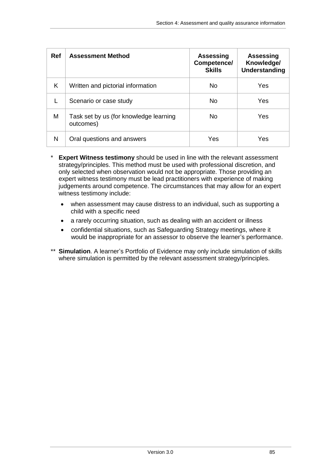| <b>Ref</b> | <b>Assessment Method</b>                            | <b>Assessing</b><br>Competence/<br><b>Skills</b> | Assessing<br>Knowledge/<br><b>Understanding</b> |
|------------|-----------------------------------------------------|--------------------------------------------------|-------------------------------------------------|
| K          | Written and pictorial information                   | No.                                              | Yes                                             |
|            | Scenario or case study                              | No.                                              | Yes                                             |
| M          | Task set by us (for knowledge learning<br>outcomes) | No.                                              | Yes                                             |
| N          | Oral questions and answers                          | Yes                                              | Yes                                             |

- **Expert Witness testimony** should be used in line with the relevant assessment strategy/principles. This method must be used with professional discretion, and only selected when observation would not be appropriate. Those providing an expert witness testimony must be lead practitioners with experience of making judgements around competence. The circumstances that may allow for an expert witness testimony include:
	- when assessment may cause distress to an individual, such as supporting a child with a specific need
	- a rarely occurring situation, such as dealing with an accident or illness
	- confidential situations, such as Safeguarding Strategy meetings, where it would be inappropriate for an assessor to observe the learner's performance.
- \*\* **Simulation**. A learner's Portfolio of Evidence may only include simulation of skills where simulation is permitted by the relevant assessment strategy/principles.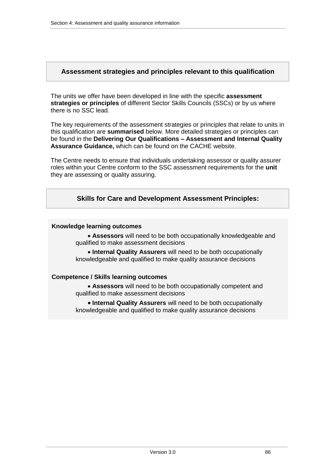#### **Assessment strategies and principles relevant to this qualification**

The units we offer have been developed in line with the specific **assessment strategies or principles** of different Sector Skills Councils (SSCs) or by us where there is no SSC lead.

The key requirements of the assessment strategies or principles that relate to units in this qualification are **summarised** below. More detailed strategies or principles can be found in the **Delivering Our Qualifications – Assessment and Internal Quality Assurance Guidance,** which can be found on the CACHE website.

The Centre needs to ensure that individuals undertaking assessor or quality assurer roles within your Centre conform to the SSC assessment requirements for the **unit** they are assessing or quality assuring.

#### **Skills for Care and Development Assessment Principles:**

#### **Knowledge learning outcomes**

 **Assessors** will need to be both occupationally knowledgeable and qualified to make assessment decisions

 **Internal Quality Assurers** will need to be both occupationally knowledgeable and qualified to make quality assurance decisions

#### **Competence / Skills learning outcomes**

 **Assessors** will need to be both occupationally competent and qualified to make assessment decisions

 **Internal Quality Assurers** will need to be both occupationally knowledgeable and qualified to make quality assurance decisions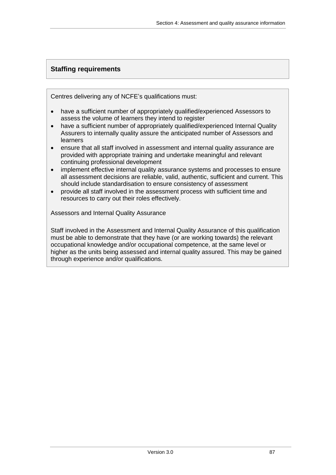## **Staffing requirements**

Centres delivering any of NCFE's qualifications must:

- have a sufficient number of appropriately qualified/experienced Assessors to assess the volume of learners they intend to register
- have a sufficient number of appropriately qualified/experienced Internal Quality Assurers to internally quality assure the anticipated number of Assessors and learners
- ensure that all staff involved in assessment and internal quality assurance are provided with appropriate training and undertake meaningful and relevant continuing professional development
- implement effective internal quality assurance systems and processes to ensure all assessment decisions are reliable, valid, authentic, sufficient and current. This should include standardisation to ensure consistency of assessment
- provide all staff involved in the assessment process with sufficient time and resources to carry out their roles effectively.

Assessors and Internal Quality Assurance

Staff involved in the Assessment and Internal Quality Assurance of this qualification must be able to demonstrate that they have (or are working towards) the relevant occupational knowledge and/or occupational competence, at the same level or higher as the units being assessed and internal quality assured. This may be gained through experience and/or qualifications.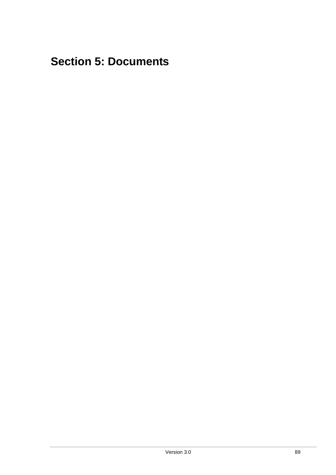# **Section 5: Documents**